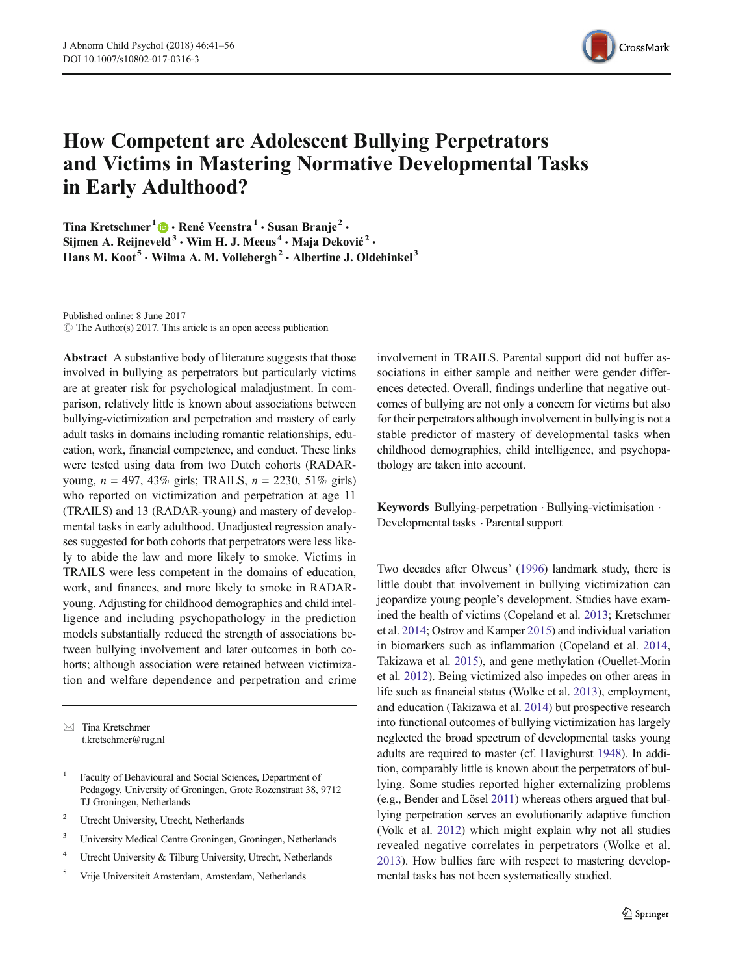

# How Competent are Adolescent Bullying Perpetrators and Victims in Mastering Normative Developmental Tasks in Early Adulthood?

Tina Kretschmer<sup>1</sup>  $\mathbf{D} \cdot \text{René Veenstra}^1 \cdot \text{Susan Branie}^2 \cdot$ Sijmen A. Reijneveld<sup>3</sup> · Wim H. J. Meeus<sup>4</sup> · Maja Deković<sup>2</sup> · Hans M. Koot<sup>5</sup> · Wilma A. M. Vollebergh<sup>2</sup> · Albertine J. Oldehinkel<sup>3</sup>

Published online: 8 June 2017  $\circ$  The Author(s) 2017. This article is an open access publication

Abstract A substantive body of literature suggests that those involved in bullying as perpetrators but particularly victims are at greater risk for psychological maladjustment. In comparison, relatively little is known about associations between bullying-victimization and perpetration and mastery of early adult tasks in domains including romantic relationships, education, work, financial competence, and conduct. These links were tested using data from two Dutch cohorts (RADARyoung,  $n = 497, 43\%$  girls; TRAILS,  $n = 2230, 51\%$  girls) who reported on victimization and perpetration at age 11 (TRAILS) and 13 (RADAR-young) and mastery of developmental tasks in early adulthood. Unadjusted regression analyses suggested for both cohorts that perpetrators were less likely to abide the law and more likely to smoke. Victims in TRAILS were less competent in the domains of education, work, and finances, and more likely to smoke in RADARyoung. Adjusting for childhood demographics and child intelligence and including psychopathology in the prediction models substantially reduced the strength of associations between bullying involvement and later outcomes in both cohorts; although association were retained between victimization and welfare dependence and perpetration and crime

 $\boxtimes$  Tina Kretschmer t.kretschmer@rug.nl

- <sup>2</sup> Utrecht University, Utrecht, Netherlands
- <sup>3</sup> University Medical Centre Groningen, Groningen, Netherlands
- <sup>4</sup> Utrecht University & Tilburg University, Utrecht, Netherlands
- <sup>5</sup> Vrije Universiteit Amsterdam, Amsterdam, Netherlands

involvement in TRAILS. Parental support did not buffer associations in either sample and neither were gender differences detected. Overall, findings underline that negative outcomes of bullying are not only a concern for victims but also for their perpetrators although involvement in bullying is not a stable predictor of mastery of developmental tasks when childhood demographics, child intelligence, and psychopathology are taken into account.

Keywords Bullying-perpetration . Bullying-victimisation . Developmental tasks . Parental support

Two decades after Olweus' [\(1996\)](#page-14-0) landmark study, there is little doubt that involvement in bullying victimization can jeopardize young people's development. Studies have examined the health of victims (Copeland et al. [2013;](#page-13-0) Kretschmer et al. [2014;](#page-14-0) Ostrov and Kamper [2015\)](#page-14-0) and individual variation in biomarkers such as inflammation (Copeland et al. [2014,](#page-13-0) Takizawa et al. [2015](#page-15-0)), and gene methylation (Ouellet-Morin et al. [2012\)](#page-14-0). Being victimized also impedes on other areas in life such as financial status (Wolke et al. [2013](#page-15-0)), employment, and education (Takizawa et al. [2014](#page-15-0)) but prospective research into functional outcomes of bullying victimization has largely neglected the broad spectrum of developmental tasks young adults are required to master (cf. Havighurst [1948](#page-14-0)). In addition, comparably little is known about the perpetrators of bullying. Some studies reported higher externalizing problems (e.g., Bender and Lösel [2011\)](#page-13-0) whereas others argued that bullying perpetration serves an evolutionarily adaptive function (Volk et al. [2012](#page-15-0)) which might explain why not all studies revealed negative correlates in perpetrators (Wolke et al. [2013\)](#page-15-0). How bullies fare with respect to mastering developmental tasks has not been systematically studied.

<sup>&</sup>lt;sup>1</sup> Faculty of Behavioural and Social Sciences, Department of Pedagogy, University of Groningen, Grote Rozenstraat 38, 9712 TJ Groningen, Netherlands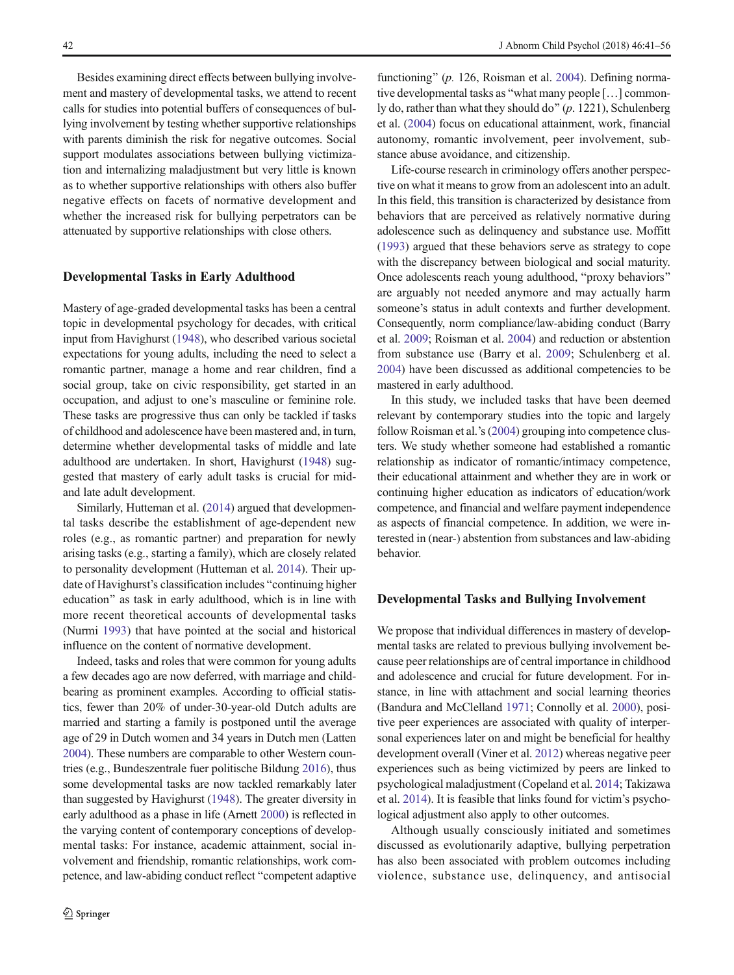Besides examining direct effects between bullying involvement and mastery of developmental tasks, we attend to recent calls for studies into potential buffers of consequences of bullying involvement by testing whether supportive relationships with parents diminish the risk for negative outcomes. Social support modulates associations between bullying victimization and internalizing maladjustment but very little is known as to whether supportive relationships with others also buffer negative effects on facets of normative development and whether the increased risk for bullying perpetrators can be attenuated by supportive relationships with close others.

## Developmental Tasks in Early Adulthood

Mastery of age-graded developmental tasks has been a central topic in developmental psychology for decades, with critical input from Havighurst [\(1948](#page-14-0)), who described various societal expectations for young adults, including the need to select a romantic partner, manage a home and rear children, find a social group, take on civic responsibility, get started in an occupation, and adjust to one's masculine or feminine role. These tasks are progressive thus can only be tackled if tasks of childhood and adolescence have been mastered and, in turn, determine whether developmental tasks of middle and late adulthood are undertaken. In short, Havighurst ([1948](#page-14-0)) suggested that mastery of early adult tasks is crucial for midand late adult development.

Similarly, Hutteman et al. ([2014](#page-14-0)) argued that developmental tasks describe the establishment of age-dependent new roles (e.g., as romantic partner) and preparation for newly arising tasks (e.g., starting a family), which are closely related to personality development (Hutteman et al. [2014](#page-14-0)). Their update of Havighurst's classification includes "continuing higher education" as task in early adulthood, which is in line with more recent theoretical accounts of developmental tasks (Nurmi [1993\)](#page-14-0) that have pointed at the social and historical influence on the content of normative development.

Indeed, tasks and roles that were common for young adults a few decades ago are now deferred, with marriage and childbearing as prominent examples. According to official statistics, fewer than 20% of under-30-year-old Dutch adults are married and starting a family is postponed until the average age of 29 in Dutch women and 34 years in Dutch men (Latten [2004\)](#page-14-0). These numbers are comparable to other Western countries (e.g., Bundeszentrale fuer politische Bildung [2016\)](#page-13-0), thus some developmental tasks are now tackled remarkably later than suggested by Havighurst [\(1948](#page-14-0)). The greater diversity in early adulthood as a phase in life (Arnett [2000\)](#page-13-0) is reflected in the varying content of contemporary conceptions of developmental tasks: For instance, academic attainment, social involvement and friendship, romantic relationships, work competence, and law-abiding conduct reflect "competent adaptive functioning" (p. 126, Roisman et al. [2004\)](#page-14-0). Defining normative developmental tasks as "what many people  $[\dots]$  commonly do, rather than what they should do" (p. 1221), Schulenberg et al. ([2004](#page-14-0)) focus on educational attainment, work, financial autonomy, romantic involvement, peer involvement, substance abuse avoidance, and citizenship.

Life-course research in criminology offers another perspective on what it means to grow from an adolescent into an adult. In this field, this transition is characterized by desistance from behaviors that are perceived as relatively normative during adolescence such as delinquency and substance use. Moffitt [\(1993\)](#page-14-0) argued that these behaviors serve as strategy to cope with the discrepancy between biological and social maturity. Once adolescents reach young adulthood, "proxy behaviors" are arguably not needed anymore and may actually harm someone's status in adult contexts and further development. Consequently, norm compliance/law-abiding conduct (Barry et al. [2009](#page-13-0); Roisman et al. [2004\)](#page-14-0) and reduction or abstention from substance use (Barry et al. [2009](#page-13-0); Schulenberg et al. [2004\)](#page-14-0) have been discussed as additional competencies to be mastered in early adulthood.

In this study, we included tasks that have been deemed relevant by contemporary studies into the topic and largely follow Roisman et al.'s [\(2004\)](#page-14-0) grouping into competence clusters. We study whether someone had established a romantic relationship as indicator of romantic/intimacy competence, their educational attainment and whether they are in work or continuing higher education as indicators of education/work competence, and financial and welfare payment independence as aspects of financial competence. In addition, we were interested in (near-) abstention from substances and law-abiding behavior.

## Developmental Tasks and Bullying Involvement

We propose that individual differences in mastery of developmental tasks are related to previous bullying involvement because peer relationships are of central importance in childhood and adolescence and crucial for future development. For instance, in line with attachment and social learning theories (Bandura and McClelland [1971](#page-13-0); Connolly et al. [2000](#page-13-0)), positive peer experiences are associated with quality of interpersonal experiences later on and might be beneficial for healthy development overall (Viner et al. [2012\)](#page-15-0) whereas negative peer experiences such as being victimized by peers are linked to psychological maladjustment (Copeland et al. [2014;](#page-13-0) Takizawa et al. [2014\)](#page-15-0). It is feasible that links found for victim's psychological adjustment also apply to other outcomes.

Although usually consciously initiated and sometimes discussed as evolutionarily adaptive, bullying perpetration has also been associated with problem outcomes including violence, substance use, delinquency, and antisocial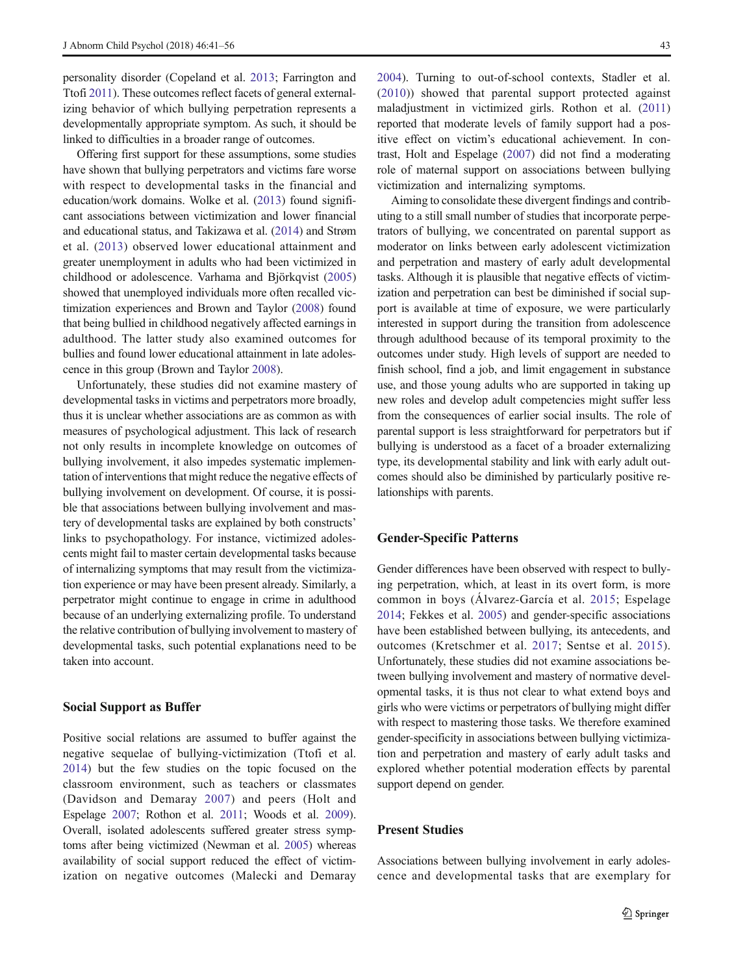personality disorder (Copeland et al. [2013](#page-13-0); Farrington and Ttofi [2011\)](#page-14-0). These outcomes reflect facets of general externalizing behavior of which bullying perpetration represents a developmentally appropriate symptom. As such, it should be linked to difficulties in a broader range of outcomes.

Offering first support for these assumptions, some studies have shown that bullying perpetrators and victims fare worse with respect to developmental tasks in the financial and education/work domains. Wolke et al. ([2013](#page-15-0)) found significant associations between victimization and lower financial and educational status, and Takizawa et al. [\(2014\)](#page-15-0) and Strøm et al. ([2013](#page-15-0)) observed lower educational attainment and greater unemployment in adults who had been victimized in childhood or adolescence. Varhama and Björkqvist ([2005\)](#page-15-0) showed that unemployed individuals more often recalled victimization experiences and Brown and Taylor [\(2008\)](#page-13-0) found that being bullied in childhood negatively affected earnings in adulthood. The latter study also examined outcomes for bullies and found lower educational attainment in late adolescence in this group (Brown and Taylor [2008](#page-13-0)).

Unfortunately, these studies did not examine mastery of developmental tasks in victims and perpetrators more broadly, thus it is unclear whether associations are as common as with measures of psychological adjustment. This lack of research not only results in incomplete knowledge on outcomes of bullying involvement, it also impedes systematic implementation of interventions that might reduce the negative effects of bullying involvement on development. Of course, it is possible that associations between bullying involvement and mastery of developmental tasks are explained by both constructs' links to psychopathology. For instance, victimized adolescents might fail to master certain developmental tasks because of internalizing symptoms that may result from the victimization experience or may have been present already. Similarly, a perpetrator might continue to engage in crime in adulthood because of an underlying externalizing profile. To understand the relative contribution of bullying involvement to mastery of developmental tasks, such potential explanations need to be taken into account.

### Social Support as Buffer

Positive social relations are assumed to buffer against the negative sequelae of bullying-victimization (Ttofi et al. [2014\)](#page-15-0) but the few studies on the topic focused on the classroom environment, such as teachers or classmates (Davidson and Demaray [2007](#page-13-0)) and peers (Holt and Espelage [2007;](#page-14-0) Rothon et al. [2011;](#page-14-0) Woods et al. [2009\)](#page-15-0). Overall, isolated adolescents suffered greater stress symptoms after being victimized (Newman et al. [2005](#page-14-0)) whereas availability of social support reduced the effect of victimization on negative outcomes (Malecki and Demaray [2004](#page-14-0)). Turning to out-of-school contexts, Stadler et al. [\(2010\)](#page-15-0)) showed that parental support protected against maladjustment in victimized girls. Rothon et al. [\(2011](#page-14-0)) reported that moderate levels of family support had a positive effect on victim's educational achievement. In contrast, Holt and Espelage [\(2007\)](#page-14-0) did not find a moderating role of maternal support on associations between bullying victimization and internalizing symptoms.

Aiming to consolidate these divergent findings and contributing to a still small number of studies that incorporate perpetrators of bullying, we concentrated on parental support as moderator on links between early adolescent victimization and perpetration and mastery of early adult developmental tasks. Although it is plausible that negative effects of victimization and perpetration can best be diminished if social support is available at time of exposure, we were particularly interested in support during the transition from adolescence through adulthood because of its temporal proximity to the outcomes under study. High levels of support are needed to finish school, find a job, and limit engagement in substance use, and those young adults who are supported in taking up new roles and develop adult competencies might suffer less from the consequences of earlier social insults. The role of parental support is less straightforward for perpetrators but if bullying is understood as a facet of a broader externalizing type, its developmental stability and link with early adult outcomes should also be diminished by particularly positive relationships with parents.

## Gender-Specific Patterns

Gender differences have been observed with respect to bullying perpetration, which, at least in its overt form, is more common in boys (Álvarez-García et al. [2015](#page-13-0); Espelage [2014;](#page-13-0) Fekkes et al. [2005\)](#page-14-0) and gender-specific associations have been established between bullying, its antecedents, and outcomes (Kretschmer et al. [2017](#page-14-0); Sentse et al. [2015](#page-15-0)). Unfortunately, these studies did not examine associations between bullying involvement and mastery of normative developmental tasks, it is thus not clear to what extend boys and girls who were victims or perpetrators of bullying might differ with respect to mastering those tasks. We therefore examined gender-specificity in associations between bullying victimization and perpetration and mastery of early adult tasks and explored whether potential moderation effects by parental support depend on gender.

# Present Studies

Associations between bullying involvement in early adolescence and developmental tasks that are exemplary for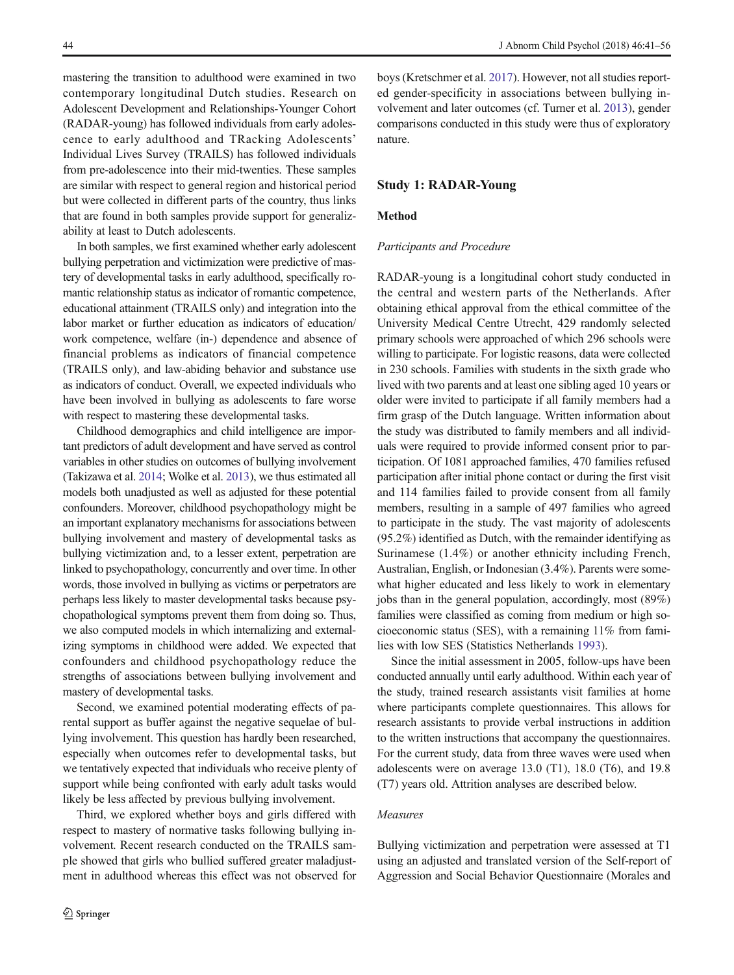mastering the transition to adulthood were examined in two contemporary longitudinal Dutch studies. Research on Adolescent Development and Relationships-Younger Cohort (RADAR-young) has followed individuals from early adolescence to early adulthood and TRacking Adolescents' Individual Lives Survey (TRAILS) has followed individuals from pre-adolescence into their mid-twenties. These samples are similar with respect to general region and historical period but were collected in different parts of the country, thus links that are found in both samples provide support for generalizability at least to Dutch adolescents.

In both samples, we first examined whether early adolescent bullying perpetration and victimization were predictive of mastery of developmental tasks in early adulthood, specifically romantic relationship status as indicator of romantic competence, educational attainment (TRAILS only) and integration into the labor market or further education as indicators of education/ work competence, welfare (in-) dependence and absence of financial problems as indicators of financial competence (TRAILS only), and law-abiding behavior and substance use as indicators of conduct. Overall, we expected individuals who have been involved in bullying as adolescents to fare worse with respect to mastering these developmental tasks.

Childhood demographics and child intelligence are important predictors of adult development and have served as control variables in other studies on outcomes of bullying involvement (Takizawa et al. [2014;](#page-15-0) Wolke et al. [2013\)](#page-15-0), we thus estimated all models both unadjusted as well as adjusted for these potential confounders. Moreover, childhood psychopathology might be an important explanatory mechanisms for associations between bullying involvement and mastery of developmental tasks as bullying victimization and, to a lesser extent, perpetration are linked to psychopathology, concurrently and over time. In other words, those involved in bullying as victims or perpetrators are perhaps less likely to master developmental tasks because psychopathological symptoms prevent them from doing so. Thus, we also computed models in which internalizing and externalizing symptoms in childhood were added. We expected that confounders and childhood psychopathology reduce the strengths of associations between bullying involvement and mastery of developmental tasks.

Second, we examined potential moderating effects of parental support as buffer against the negative sequelae of bullying involvement. This question has hardly been researched, especially when outcomes refer to developmental tasks, but we tentatively expected that individuals who receive plenty of support while being confronted with early adult tasks would likely be less affected by previous bullying involvement.

Third, we explored whether boys and girls differed with respect to mastery of normative tasks following bullying involvement. Recent research conducted on the TRAILS sample showed that girls who bullied suffered greater maladjustment in adulthood whereas this effect was not observed for boys (Kretschmer et al. [2017](#page-14-0)). However, not all studies reported gender-specificity in associations between bullying involvement and later outcomes (cf. Turner et al. [2013\)](#page-15-0), gender comparisons conducted in this study were thus of exploratory nature.

## Study 1: RADAR-Young

## Method

## Participants and Procedure

RADAR-young is a longitudinal cohort study conducted in the central and western parts of the Netherlands. After obtaining ethical approval from the ethical committee of the University Medical Centre Utrecht, 429 randomly selected primary schools were approached of which 296 schools were willing to participate. For logistic reasons, data were collected in 230 schools. Families with students in the sixth grade who lived with two parents and at least one sibling aged 10 years or older were invited to participate if all family members had a firm grasp of the Dutch language. Written information about the study was distributed to family members and all individuals were required to provide informed consent prior to participation. Of 1081 approached families, 470 families refused participation after initial phone contact or during the first visit and 114 families failed to provide consent from all family members, resulting in a sample of 497 families who agreed to participate in the study. The vast majority of adolescents (95.2%) identified as Dutch, with the remainder identifying as Surinamese (1.4%) or another ethnicity including French, Australian, English, or Indonesian (3.4%). Parents were somewhat higher educated and less likely to work in elementary jobs than in the general population, accordingly, most (89%) families were classified as coming from medium or high socioeconomic status (SES), with a remaining 11% from families with low SES (Statistics Netherlands [1993\)](#page-15-0).

Since the initial assessment in 2005, follow-ups have been conducted annually until early adulthood. Within each year of the study, trained research assistants visit families at home where participants complete questionnaires. This allows for research assistants to provide verbal instructions in addition to the written instructions that accompany the questionnaires. For the current study, data from three waves were used when adolescents were on average 13.0 (T1), 18.0 (T6), and 19.8 (T7) years old. Attrition analyses are described below.

#### Measures

Bullying victimization and perpetration were assessed at T1 using an adjusted and translated version of the Self-report of Aggression and Social Behavior Questionnaire (Morales and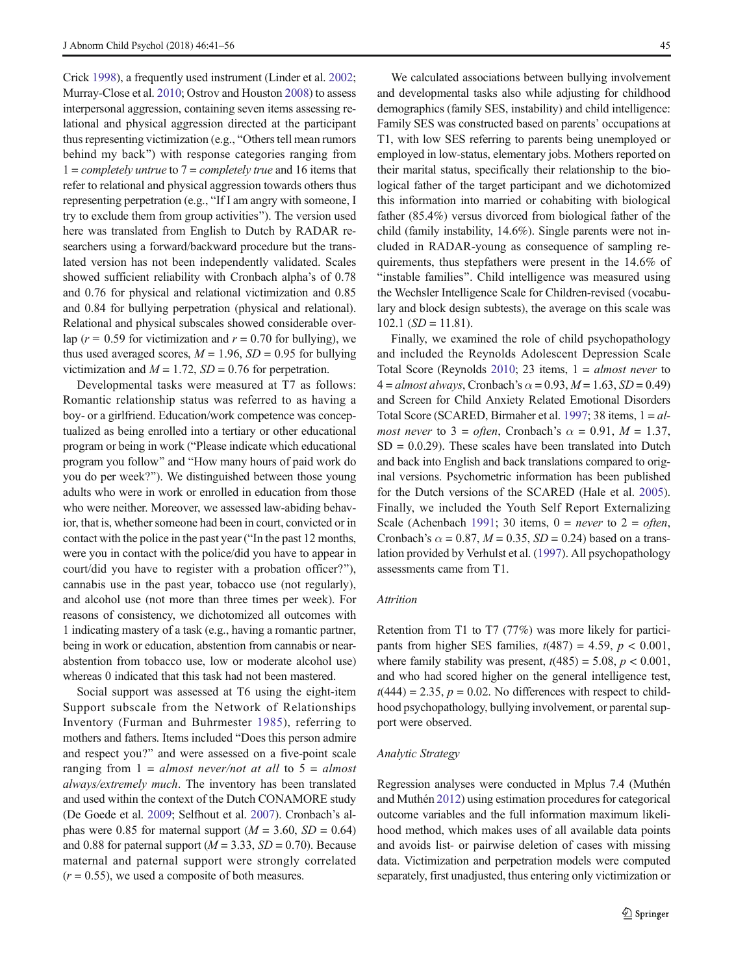Crick [1998](#page-14-0)), a frequently used instrument (Linder et al. [2002](#page-14-0); Murray-Close et al. [2010](#page-14-0); Ostrov and Houston [2008\)](#page-14-0) to assess interpersonal aggression, containing seven items assessing relational and physical aggression directed at the participant thus representing victimization (e.g., "Others tell mean rumors behind my back") with response categories ranging from  $1 = completely$  untrue to  $7 = completely$  true and 16 items that refer to relational and physical aggression towards others thus representing perpetration (e.g., "If I am angry with someone, I try to exclude them from group activities^). The version used here was translated from English to Dutch by RADAR researchers using a forward/backward procedure but the translated version has not been independently validated. Scales showed sufficient reliability with Cronbach alpha's of 0.78 and 0.76 for physical and relational victimization and 0.85 and 0.84 for bullying perpetration (physical and relational). Relational and physical subscales showed considerable overlap ( $r = 0.59$  for victimization and  $r = 0.70$  for bullying), we thus used averaged scores,  $M = 1.96$ ,  $SD = 0.95$  for bullying victimization and  $M = 1.72$ ,  $SD = 0.76$  for perpetration.

Developmental tasks were measured at T7 as follows: Romantic relationship status was referred to as having a boy- or a girlfriend. Education/work competence was conceptualized as being enrolled into a tertiary or other educational program or being in work ("Please indicate which educational program you follow" and "How many hours of paid work do you do per week?^). We distinguished between those young adults who were in work or enrolled in education from those who were neither. Moreover, we assessed law-abiding behavior, that is, whether someone had been in court, convicted or in contact with the police in the past year ("In the past 12 months, were you in contact with the police/did you have to appear in court/did you have to register with a probation officer?"), cannabis use in the past year, tobacco use (not regularly), and alcohol use (not more than three times per week). For reasons of consistency, we dichotomized all outcomes with 1 indicating mastery of a task (e.g., having a romantic partner, being in work or education, abstention from cannabis or nearabstention from tobacco use, low or moderate alcohol use) whereas 0 indicated that this task had not been mastered.

Social support was assessed at T6 using the eight-item Support subscale from the Network of Relationships Inventory (Furman and Buhrmester [1985\)](#page-14-0), referring to mothers and fathers. Items included "Does this person admire and respect you?" and were assessed on a five-point scale ranging from  $1 = almost never/not at all to 5 = almost$ always/extremely much. The inventory has been translated and used within the context of the Dutch CONAMORE study (De Goede et al. [2009](#page-13-0); Selfhout et al. [2007](#page-14-0)). Cronbach's alphas were 0.85 for maternal support ( $M = 3.60$ ,  $SD = 0.64$ ) and 0.88 for paternal support ( $M = 3.33$ ,  $SD = 0.70$ ). Because maternal and paternal support were strongly correlated  $(r = 0.55)$ , we used a composite of both measures.

We calculated associations between bullying involvement and developmental tasks also while adjusting for childhood demographics (family SES, instability) and child intelligence: Family SES was constructed based on parents' occupations at T1, with low SES referring to parents being unemployed or employed in low-status, elementary jobs. Mothers reported on their marital status, specifically their relationship to the biological father of the target participant and we dichotomized this information into married or cohabiting with biological father (85.4%) versus divorced from biological father of the child (family instability, 14.6%). Single parents were not included in RADAR-young as consequence of sampling requirements, thus stepfathers were present in the 14.6% of "instable families". Child intelligence was measured using the Wechsler Intelligence Scale for Children-revised (vocabulary and block design subtests), the average on this scale was  $102.1$  (SD = 11.81).

Finally, we examined the role of child psychopathology and included the Reynolds Adolescent Depression Scale Total Score (Reynolds [2010](#page-14-0); 23 items,  $1 = almost never$  to  $4 = \frac{almost \, always}{.}$  Cronbach's  $\alpha = 0.93, M = 1.63, SD = 0.49$ ) and Screen for Child Anxiety Related Emotional Disorders Total Score (SCARED, Birmaher et al. [1997;](#page-13-0) 38 items,  $1 = al$ most never to 3 = often, Cronbach's  $\alpha$  = 0.91, M = 1.37,  $SD = 0.0.29$ . These scales have been translated into Dutch and back into English and back translations compared to original versions. Psychometric information has been published for the Dutch versions of the SCARED (Hale et al. [2005\)](#page-14-0). Finally, we included the Youth Self Report Externalizing Scale (Achenbach [1991;](#page-13-0) 30 items,  $0 = never$  to  $2 = often$ , Cronbach's  $\alpha = 0.87$ ,  $M = 0.35$ ,  $SD = 0.24$ ) based on a translation provided by Verhulst et al. [\(1997\)](#page-15-0). All psychopathology assessments came from T1.

#### **Attrition**

Retention from T1 to T7 (77%) was more likely for participants from higher SES families,  $t(487) = 4.59$ ,  $p < 0.001$ , where family stability was present,  $t(485) = 5.08$ ,  $p < 0.001$ , and who had scored higher on the general intelligence test,  $t(444) = 2.35$ ,  $p = 0.02$ . No differences with respect to childhood psychopathology, bullying involvement, or parental support were observed.

#### Analytic Strategy

Regression analyses were conducted in Mplus 7.4 (Muthén and Muthén [2012](#page-14-0)) using estimation procedures for categorical outcome variables and the full information maximum likelihood method, which makes uses of all available data points and avoids list- or pairwise deletion of cases with missing data. Victimization and perpetration models were computed separately, first unadjusted, thus entering only victimization or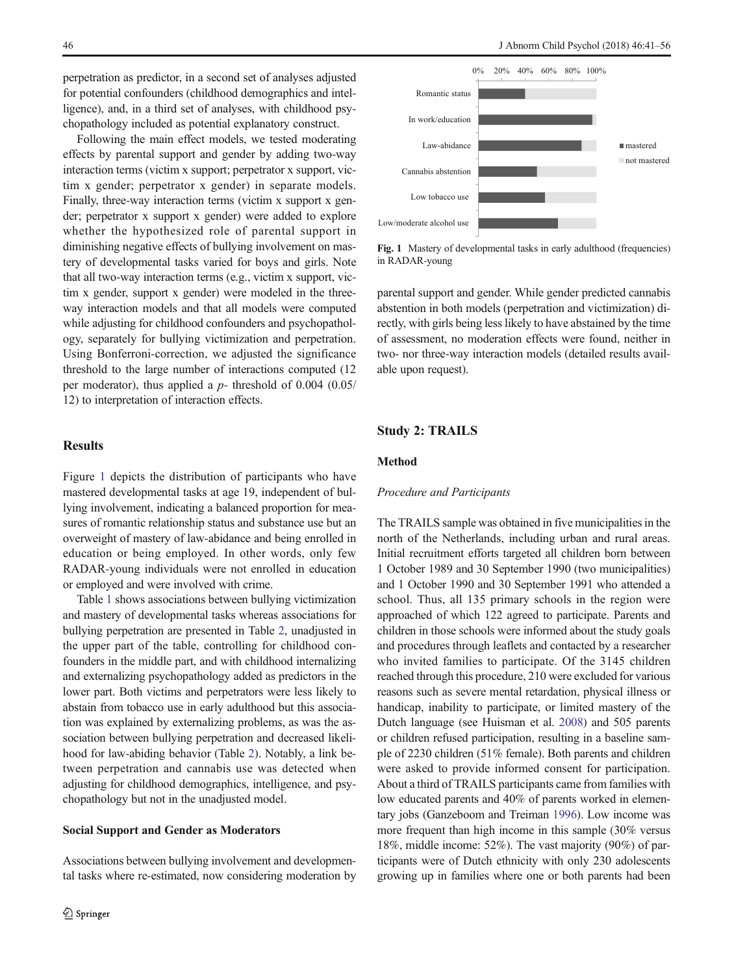perpetration as predictor, in a second set of analyses adjusted for potential confounders (childhood demographics and intelligence), and, in a third set of analyses, with childhood psychopathology included as potential explanatory construct.

Following the main effect models, we tested moderating effects by parental support and gender by adding two-way interaction terms (victim x support; perpetrator x support, victim x gender; perpetrator x gender) in separate models. Finally, three-way interaction terms (victim x support x gender; perpetrator x support x gender) were added to explore whether the hypothesized role of parental support in diminishing negative effects of bullying involvement on mastery of developmental tasks varied for boys and girls. Note that all two-way interaction terms (e.g., victim x support, victim x gender, support x gender) were modeled in the threeway interaction models and that all models were computed while adjusting for childhood confounders and psychopathology, separately for bullying victimization and perpetration. Using Bonferroni-correction, we adjusted the significance threshold to the large number of interactions computed (12 per moderator), thus applied a p- threshold of 0.004 (0.05/ 12) to interpretation of interaction effects.

# **Results**

Figure 1 depicts the distribution of participants who have mastered developmental tasks at age 19, independent of bullying involvement, indicating a balanced proportion for measures of romantic relationship status and substance use but an overweight of mastery of law-abidance and being enrolled in education or being employed. In other words, only few RADAR-young individuals were not enrolled in education or employed and were involved with crime.

Table [1](#page-6-0) shows associations between bullying victimization and mastery of developmental tasks whereas associations for bullying perpetration are presented in Table [2,](#page-6-0) unadjusted in the upper part of the table, controlling for childhood confounders in the middle part, and with childhood internalizing and externalizing psychopathology added as predictors in the lower part. Both victims and perpetrators were less likely to abstain from tobacco use in early adulthood but this association was explained by externalizing problems, as was the association between bullying perpetration and decreased likelihood for law-abiding behavior (Table [2\)](#page-6-0). Notably, a link between perpetration and cannabis use was detected when adjusting for childhood demographics, intelligence, and psychopathology but not in the unadjusted model.

#### Social Support and Gender as Moderators

Associations between bullying involvement and developmental tasks where re-estimated, now considering moderation by



Fig. 1 Mastery of developmental tasks in early adulthood (frequencies) in RADAR-young

parental support and gender. While gender predicted cannabis abstention in both models (perpetration and victimization) directly, with girls being less likely to have abstained by the time of assessment, no moderation effects were found, neither in two- nor three-way interaction models (detailed results available upon request).

## Study 2: TRAILS

## Method

#### Procedure and Participants

The TRAILS sample was obtained in five municipalities in the north of the Netherlands, including urban and rural areas. Initial recruitment efforts targeted all children born between 1 October 1989 and 30 September 1990 (two municipalities) and 1 October 1990 and 30 September 1991 who attended a school. Thus, all 135 primary schools in the region were approached of which 122 agreed to participate. Parents and children in those schools were informed about the study goals and procedures through leaflets and contacted by a researcher who invited families to participate. Of the 3145 children reached through this procedure, 210 were excluded for various reasons such as severe mental retardation, physical illness or handicap, inability to participate, or limited mastery of the Dutch language (see Huisman et al. [2008](#page-14-0)) and 505 parents or children refused participation, resulting in a baseline sample of 2230 children (51% female). Both parents and children were asked to provide informed consent for participation. About a third of TRAILS participants came from families with low educated parents and 40% of parents worked in elementary jobs (Ganzeboom and Treiman [1996](#page-14-0)). Low income was more frequent than high income in this sample (30% versus 18%, middle income: 52%). The vast majority (90%) of participants were of Dutch ethnicity with only 230 adolescents growing up in families where one or both parents had been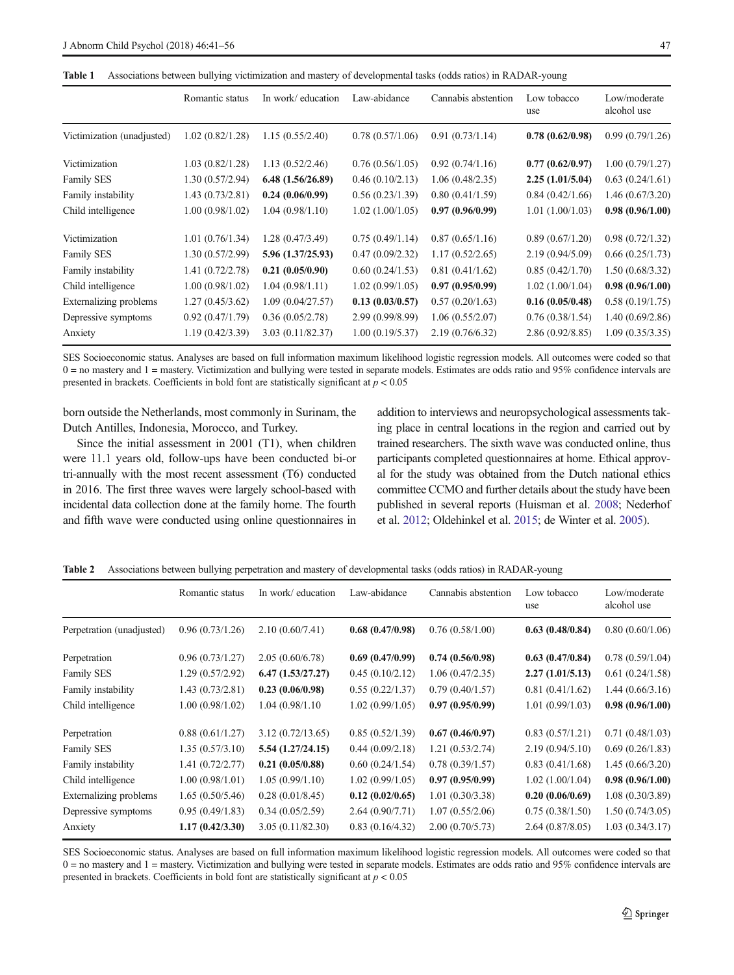<span id="page-6-0"></span>Table 1 Associations between bullying victimization and mastery of developmental tasks (odds ratios) in RADAR-young

|                               | Romantic status  | In work/education | Law-abidance     | Cannabis abstention | Low tobacco<br>use | Low/moderate<br>alcohol use |
|-------------------------------|------------------|-------------------|------------------|---------------------|--------------------|-----------------------------|
| Victimization (unadjusted)    | 1.02(0.82/1.28)  | 1.15(0.55/2.40)   | 0.78(0.57/1.06)  | 0.91(0.73/1.14)     | 0.78(0.62/0.98)    | 0.99(0.79/1.26)             |
| Victimization                 | 1.03(0.82/1.28)  | 1.13(0.52/2.46)   | 0.76(0.56/1.05)  | 0.92(0.74/1.16)     | 0.77(0.62/0.97)    | 1.00(0.79/1.27)             |
| <b>Family SES</b>             | 1.30(0.57/2.94)  | 6.48(1.56/26.89)  | 0.46(0.10/2.13)  | 1.06(0.48/2.35)     | 2.25(1.01/5.04)    | 0.63(0.24/1.61)             |
| Family instability            | 1.43(0.73/2.81)  | 0.24(0.06/0.99)   | 0.56(0.23/1.39)  | 0.80(0.41/1.59)     | 0.84(0.42/1.66)    | 1.46(0.67/3.20)             |
| Child intelligence            | 1.00 (0.98/1.02) | 1.04(0.98/1.10)   | 1.02(1.00/1.05)  | 0.97(0.96/0.99)     | 1.01(1.00/1.03)    | 0.98(0.96/1.00)             |
| Victimization                 | 1.01(0.76/1.34)  | 1.28(0.47/3.49)   | 0.75(0.49/1.14)  | 0.87(0.65/1.16)     | 0.89(0.67/1.20)    | 0.98(0.72/1.32)             |
| <b>Family SES</b>             | 1.30(0.57/2.99)  | 5.96 (1.37/25.93) | 0.47(0.09/2.32)  | 1.17(0.52/2.65)     | 2.19(0.94/5.09)    | 0.66(0.25/1.73)             |
| Family instability            | 1.41 (0.72/2.78) | 0.21(0.05/0.90)   | 0.60(0.24/1.53)  | 0.81(0.41/1.62)     | 0.85(0.42/1.70)    | 1.50(0.68/3.32)             |
| Child intelligence            | 1.00(0.98/1.02)  | 1.04(0.98/1.11)   | 1.02(0.99/1.05)  | 0.97(0.95/0.99)     | 1.02(1.00/1.04)    | 0.98(0.96/1.00)             |
| <b>Externalizing problems</b> | 1.27(0.45/3.62)  | 1.09(0.04/27.57)  | 0.13(0.03/0.57)  | 0.57(0.20/1.63)     | 0.16(0.05/0.48)    | 0.58(0.19/1.75)             |
| Depressive symptoms           | 0.92(0.47/1.79)  | 0.36(0.05/2.78)   | 2.99 (0.99/8.99) | 1.06(0.55/2.07)     | 0.76(0.38/1.54)    | 1.40(0.69/2.86)             |
| Anxiety                       | 1.19(0.42/3.39)  | 3.03(0.11/82.37)  | 1.00(0.19/5.37)  | 2.19(0.76/6.32)     | 2.86(0.92/8.85)    | 1.09(0.35/3.35)             |

SES Socioeconomic status. Analyses are based on full information maximum likelihood logistic regression models. All outcomes were coded so that  $0 =$  no mastery and  $1 =$  mastery. Victimization and bullying were tested in separate models. Estimates are odds ratio and 95% confidence intervals are presented in brackets. Coefficients in bold font are statistically significant at  $p < 0.05$ 

born outside the Netherlands, most commonly in Surinam, the Dutch Antilles, Indonesia, Morocco, and Turkey.

Since the initial assessment in 2001 (T1), when children were 11.1 years old, follow-ups have been conducted bi-or tri-annually with the most recent assessment (T6) conducted in 2016. The first three waves were largely school-based with incidental data collection done at the family home. The fourth and fifth wave were conducted using online questionnaires in addition to interviews and neuropsychological assessments taking place in central locations in the region and carried out by trained researchers. The sixth wave was conducted online, thus participants completed questionnaires at home. Ethical approval for the study was obtained from the Dutch national ethics committee CCMO and further details about the study have been published in several reports (Huisman et al. [2008;](#page-14-0) Nederhof et al. [2012](#page-14-0); Oldehinkel et al. [2015](#page-14-0); de Winter et al. [2005\)](#page-13-0).

Table 2 Associations between bullying perpetration and mastery of developmental tasks (odds ratios) in RADAR-young

|                           | Romantic status | In work/ education | Law-abidance    | Cannabis abstention | Low tobacco<br>use | Low/moderate<br>alcohol use |
|---------------------------|-----------------|--------------------|-----------------|---------------------|--------------------|-----------------------------|
| Perpetration (unadjusted) | 0.96(0.73/1.26) | 2.10(0.60/7.41)    | 0.68(0.47/0.98) | 0.76(0.58/1.00)     | 0.63(0.48/0.84)    | 0.80(0.60/1.06)             |
| Perpetration              | 0.96(0.73/1.27) | 2.05(0.60/6.78)    | 0.69(0.47/0.99) | 0.74(0.56/0.98)     | 0.63(0.47/0.84)    | 0.78(0.59/1.04)             |
| <b>Family SES</b>         | 1.29(0.57/2.92) | 6.47(1.53/27.27)   | 0.45(0.10/2.12) | 1.06(0.47/2.35)     | 2.27(1.01/5.13)    | 0.61(0.24/1.58)             |
| Family instability        | 1.43(0.73/2.81) | 0.23(0.06/0.98)    | 0.55(0.22/1.37) | 0.79(0.40/1.57)     | 0.81(0.41/1.62)    | 1.44(0.66/3.16)             |
| Child intelligence        | 1.00(0.98/1.02) | 1.04(0.98/1.10)    | 1.02(0.99/1.05) | 0.97(0.95/0.99)     | 1.01(0.99/1.03)    | 0.98(0.96/1.00)             |
| Perpetration              | 0.88(0.61/1.27) | 3.12(0.72/13.65)   | 0.85(0.52/1.39) | 0.67(0.46/0.97)     | 0.83(0.57/1.21)    | 0.71(0.48/1.03)             |
| <b>Family SES</b>         | 1.35(0.57/3.10) | 5.54(1.27/24.15)   | 0.44(0.09/2.18) | 1.21(0.53/2.74)     | 2.19(0.94/5.10)    | 0.69(0.26/1.83)             |
| Family instability        | 1.41(0.72/2.77) | 0.21(0.05/0.88)    | 0.60(0.24/1.54) | 0.78(0.39/1.57)     | 0.83(0.41/1.68)    | 1.45(0.66/3.20)             |
| Child intelligence        | 1.00(0.98/1.01) | 1.05(0.99/1.10)    | 1.02(0.99/1.05) | 0.97(0.95/0.99)     | 1.02(1.00/1.04)    | 0.98(0.96/1.00)             |
| Externalizing problems    | 1.65(0.50/5.46) | 0.28(0.01/8.45)    | 0.12(0.02/0.65) | 1.01(0.30/3.38)     | 0.20(0.06/0.69)    | 1.08(0.30/3.89)             |
| Depressive symptoms       | 0.95(0.49/1.83) | 0.34(0.05/2.59)    | 2.64(0.90/7.71) | 1.07(0.55/2.06)     | 0.75(0.38/1.50)    | 1.50(0.74/3.05)             |
| Anxiety                   | 1.17(0.42/3.30) | 3.05(0.11/82.30)   | 0.83(0.16/4.32) | 2.00(0.70/5.73)     | 2.64(0.87/8.05)    | 1.03(0.34/3.17)             |

SES Socioeconomic status. Analyses are based on full information maximum likelihood logistic regression models. All outcomes were coded so that  $0 =$  no mastery and  $1 =$  mastery. Victimization and bullying were tested in separate models. Estimates are odds ratio and 95% confidence intervals are presented in brackets. Coefficients in bold font are statistically significant at  $p < 0.05$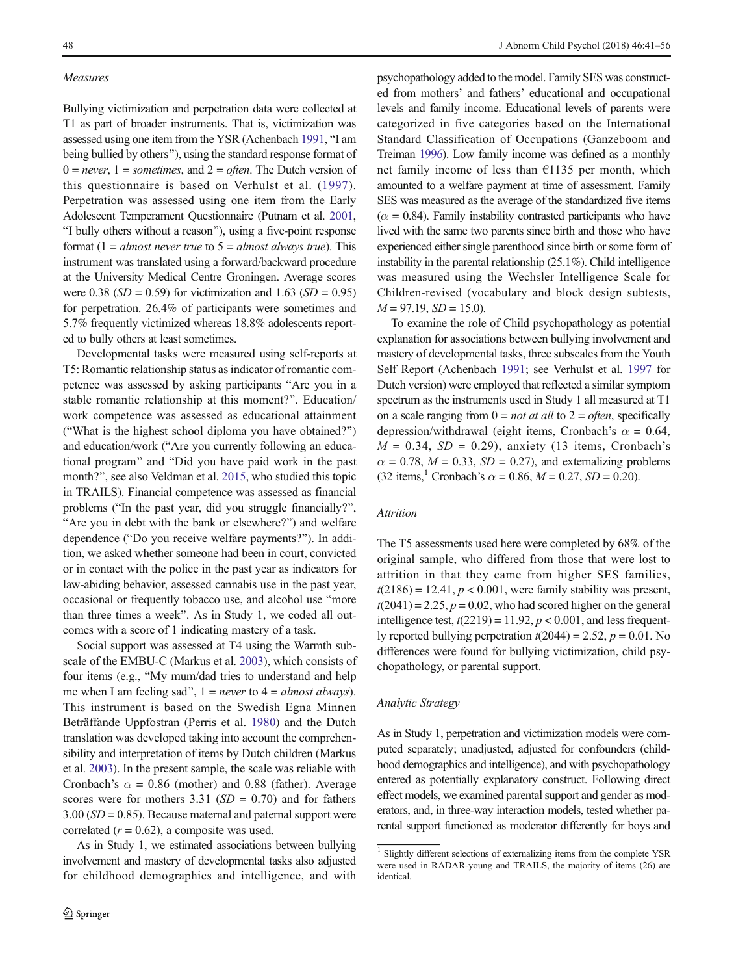#### Measures

Bullying victimization and perpetration data were collected at T1 as part of broader instruments. That is, victimization was assessed using one item from the YSR (Achenbach [1991](#page-13-0), "I am being bullied by others"), using the standard response format of  $0 = never$ ,  $1 = sometimes$ , and  $2 = often$ . The Dutch version of this questionnaire is based on Verhulst et al. ([1997](#page-15-0)). Perpetration was assessed using one item from the Early Adolescent Temperament Questionnaire (Putnam et al. [2001,](#page-14-0) "I bully others without a reason"), using a five-point response format (1 = almost never true to  $5 =$  almost always true). This instrument was translated using a forward/backward procedure at the University Medical Centre Groningen. Average scores were 0.38  $(SD = 0.59)$  for victimization and 1.63  $(SD = 0.95)$ for perpetration. 26.4% of participants were sometimes and 5.7% frequently victimized whereas 18.8% adolescents reported to bully others at least sometimes.

Developmental tasks were measured using self-reports at T5: Romantic relationship status as indicator of romantic competence was assessed by asking participants "Are you in a stable romantic relationship at this moment?^. Education/ work competence was assessed as educational attainment ("What is the highest school diploma you have obtained?") and education/work ("Are you currently following an educational program" and "Did you have paid work in the past month?", see also Veldman et al. [2015,](#page-15-0) who studied this topic in TRAILS). Financial competence was assessed as financial problems ("In the past year, did you struggle financially?", "Are you in debt with the bank or elsewhere?") and welfare dependence ("Do you receive welfare payments?"). In addition, we asked whether someone had been in court, convicted or in contact with the police in the past year as indicators for law-abiding behavior, assessed cannabis use in the past year, occasional or frequently tobacco use, and alcohol use "more than three times a week". As in Study 1, we coded all outcomes with a score of 1 indicating mastery of a task.

Social support was assessed at T4 using the Warmth subscale of the EMBU-C (Markus et al. [2003\)](#page-14-0), which consists of four items (e.g., "My mum/dad tries to understand and help me when I am feeling sad",  $1 = never$  to  $4 = almost always$ . This instrument is based on the Swedish Egna Minnen Beträffande Uppfostran (Perris et al. [1980\)](#page-14-0) and the Dutch translation was developed taking into account the comprehensibility and interpretation of items by Dutch children (Markus et al. [2003\)](#page-14-0). In the present sample, the scale was reliable with Cronbach's  $\alpha = 0.86$  (mother) and 0.88 (father). Average scores were for mothers  $3.31$  (SD = 0.70) and for fathers  $3.00$  (SD = 0.85). Because maternal and paternal support were correlated  $(r = 0.62)$ , a composite was used.

As in Study 1, we estimated associations between bullying involvement and mastery of developmental tasks also adjusted for childhood demographics and intelligence, and with psychopathology added to the model. Family SES was constructed from mothers' and fathers' educational and occupational levels and family income. Educational levels of parents were categorized in five categories based on the International Standard Classification of Occupations (Ganzeboom and Treiman [1996](#page-14-0)). Low family income was defined as a monthly net family income of less than €1135 per month, which amounted to a welfare payment at time of assessment. Family SES was measured as the average of the standardized five items  $(\alpha = 0.84)$ . Family instability contrasted participants who have lived with the same two parents since birth and those who have experienced either single parenthood since birth or some form of instability in the parental relationship (25.1%). Child intelligence was measured using the Wechsler Intelligence Scale for Children-revised (vocabulary and block design subtests,  $M = 97.19$ ,  $SD = 15.0$ ).

To examine the role of Child psychopathology as potential explanation for associations between bullying involvement and mastery of developmental tasks, three subscales from the Youth Self Report (Achenbach [1991;](#page-13-0) see Verhulst et al. [1997](#page-15-0) for Dutch version) were employed that reflected a similar symptom spectrum as the instruments used in Study 1 all measured at T1 on a scale ranging from  $0 = not$  at all to  $2 = often$ , specifically depression/withdrawal (eight items, Cronbach's  $\alpha = 0.64$ ,  $M = 0.34$ ,  $SD = 0.29$ ), anxiety (13 items, Cronbach's  $\alpha = 0.78$ ,  $M = 0.33$ ,  $SD = 0.27$ ), and externalizing problems (32 items,<sup>1</sup> Cronbach's  $\alpha = 0.86$ ,  $M = 0.27$ ,  $SD = 0.20$ ).

## Attrition

The T5 assessments used here were completed by 68% of the original sample, who differed from those that were lost to attrition in that they came from higher SES families,  $t(2186) = 12.41, p < 0.001$ , were family stability was present,  $t(2041) = 2.25$ ,  $p = 0.02$ , who had scored higher on the general intelligence test,  $t(2219) = 11.92$ ,  $p < 0.001$ , and less frequently reported bullying perpetration  $t(2044) = 2.52$ ,  $p = 0.01$ . No differences were found for bullying victimization, child psychopathology, or parental support.

#### Analytic Strategy

As in Study 1, perpetration and victimization models were computed separately; unadjusted, adjusted for confounders (childhood demographics and intelligence), and with psychopathology entered as potentially explanatory construct. Following direct effect models, we examined parental support and gender as moderators, and, in three-way interaction models, tested whether parental support functioned as moderator differently for boys and

<sup>&</sup>lt;sup>1</sup> Slightly different selections of externalizing items from the complete YSR were used in RADAR-young and TRAILS, the majority of items (26) are identical.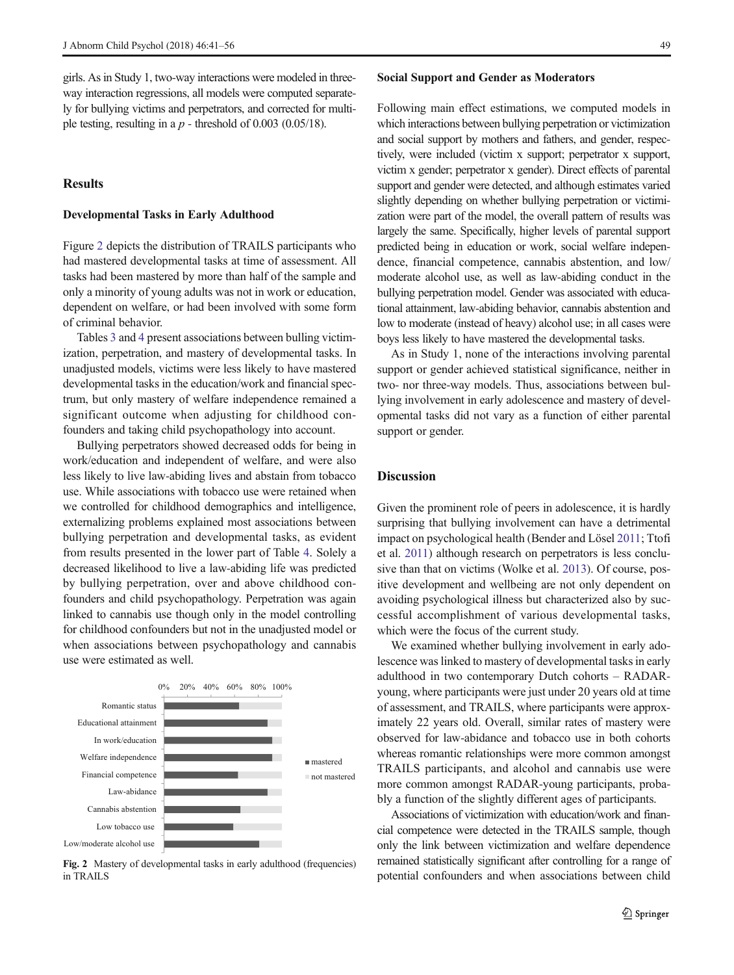girls. As in Study 1, two-way interactions were modeled in threeway interaction regressions, all models were computed separately for bullying victims and perpetrators, and corrected for multiple testing, resulting in a  $p$  - threshold of 0.003 (0.05/18).

### Results

## Developmental Tasks in Early Adulthood

Figure 2 depicts the distribution of TRAILS participants who had mastered developmental tasks at time of assessment. All tasks had been mastered by more than half of the sample and only a minority of young adults was not in work or education, dependent on welfare, or had been involved with some form of criminal behavior.

Tables [3](#page-9-0) and [4](#page-10-0) present associations between bulling victimization, perpetration, and mastery of developmental tasks. In unadjusted models, victims were less likely to have mastered developmental tasks in the education/work and financial spectrum, but only mastery of welfare independence remained a significant outcome when adjusting for childhood confounders and taking child psychopathology into account.

Bullying perpetrators showed decreased odds for being in work/education and independent of welfare, and were also less likely to live law-abiding lives and abstain from tobacco use. While associations with tobacco use were retained when we controlled for childhood demographics and intelligence, externalizing problems explained most associations between bullying perpetration and developmental tasks, as evident from results presented in the lower part of Table [4](#page-10-0). Solely a decreased likelihood to live a law-abiding life was predicted by bullying perpetration, over and above childhood confounders and child psychopathology. Perpetration was again linked to cannabis use though only in the model controlling for childhood confounders but not in the unadjusted model or when associations between psychopathology and cannabis use were estimated as well.



Fig. 2 Mastery of developmental tasks in early adulthood (frequencies) in TRAILS

#### Social Support and Gender as Moderators

Following main effect estimations, we computed models in which interactions between bullying perpetration or victimization and social support by mothers and fathers, and gender, respectively, were included (victim x support; perpetrator x support, victim x gender; perpetrator x gender). Direct effects of parental support and gender were detected, and although estimates varied slightly depending on whether bullying perpetration or victimization were part of the model, the overall pattern of results was largely the same. Specifically, higher levels of parental support predicted being in education or work, social welfare independence, financial competence, cannabis abstention, and low/ moderate alcohol use, as well as law-abiding conduct in the bullying perpetration model. Gender was associated with educational attainment, law-abiding behavior, cannabis abstention and low to moderate (instead of heavy) alcohol use; in all cases were boys less likely to have mastered the developmental tasks.

As in Study 1, none of the interactions involving parental support or gender achieved statistical significance, neither in two- nor three-way models. Thus, associations between bullying involvement in early adolescence and mastery of developmental tasks did not vary as a function of either parental support or gender.

# Discussion

Given the prominent role of peers in adolescence, it is hardly surprising that bullying involvement can have a detrimental impact on psychological health (Bender and Lösel [2011](#page-13-0); Ttofi et al. [2011\)](#page-15-0) although research on perpetrators is less conclusive than that on victims (Wolke et al. [2013](#page-15-0)). Of course, positive development and wellbeing are not only dependent on avoiding psychological illness but characterized also by successful accomplishment of various developmental tasks, which were the focus of the current study.

We examined whether bullying involvement in early adolescence was linked to mastery of developmental tasks in early adulthood in two contemporary Dutch cohorts – RADARyoung, where participants were just under 20 years old at time of assessment, and TRAILS, where participants were approximately 22 years old. Overall, similar rates of mastery were observed for law-abidance and tobacco use in both cohorts whereas romantic relationships were more common amongst TRAILS participants, and alcohol and cannabis use were more common amongst RADAR-young participants, probably a function of the slightly different ages of participants.

Associations of victimization with education/work and financial competence were detected in the TRAILS sample, though only the link between victimization and welfare dependence remained statistically significant after controlling for a range of potential confounders and when associations between child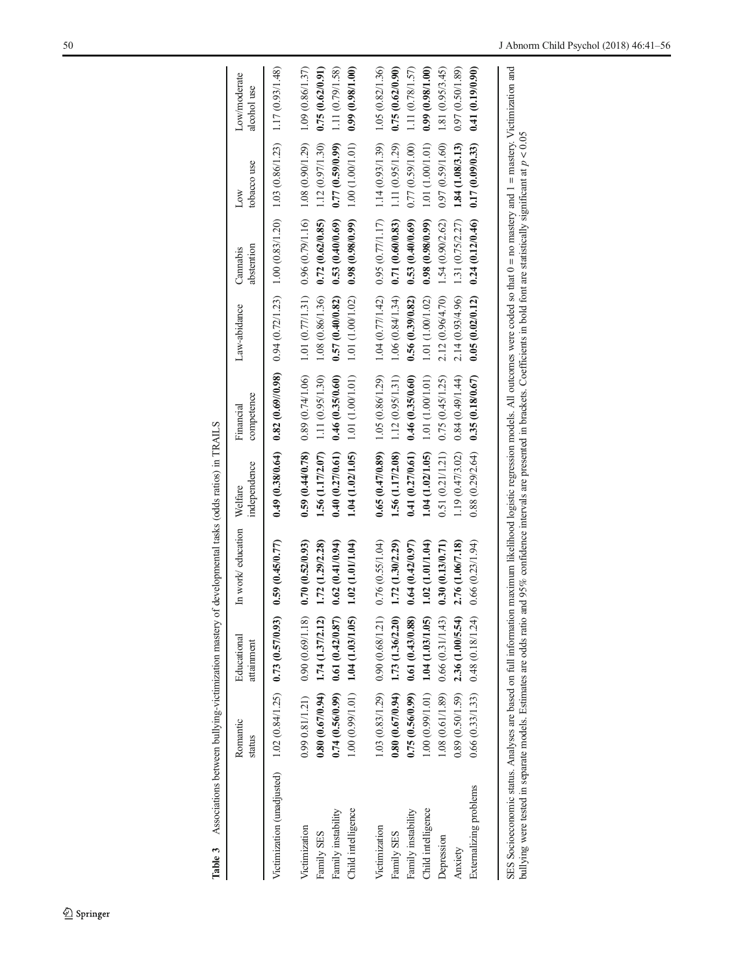| Table 3 |               |                        |                               |       | $\frac{1}{2}$ |                |               |
|---------|---------------|------------------------|-------------------------------|-------|---------------|----------------|---------------|
|         | U omont:<br>ſ | $F_{\text{dustation}}$ | $\cdots$<br>دام /مالسمبینی سا | $W_0$ | E             | Tour old donor | Casara C<br>Ì |

<span id="page-9-0"></span>

|                                                                                                                            | Romantic<br>status                                                       | Educational<br>attainment                                                                                                                                                                                                           | In work/ education                                                                                                                   | independence<br>Welfare                                                                        | competence<br>Financial                                                                                                                                                                                                       | Law-abidance                                                                | abstention<br>Cannabis                                                                                                                                                                                          | tobacco use<br>Low                                                                                                 | Low/moderate<br>alcohol use                                                                                                           |
|----------------------------------------------------------------------------------------------------------------------------|--------------------------------------------------------------------------|-------------------------------------------------------------------------------------------------------------------------------------------------------------------------------------------------------------------------------------|--------------------------------------------------------------------------------------------------------------------------------------|------------------------------------------------------------------------------------------------|-------------------------------------------------------------------------------------------------------------------------------------------------------------------------------------------------------------------------------|-----------------------------------------------------------------------------|-----------------------------------------------------------------------------------------------------------------------------------------------------------------------------------------------------------------|--------------------------------------------------------------------------------------------------------------------|---------------------------------------------------------------------------------------------------------------------------------------|
| Victimization (unadjusted) 1.02 (0.84/1.25) 0.73 (0.57/0.93)                                                               |                                                                          |                                                                                                                                                                                                                                     | 0.59(0.45/0.77)                                                                                                                      |                                                                                                | 0.49, 0.28% (0.38% 0.38% 0.32% 0.32% 0.32% 0.32% 0.32% 0.32% 0.32% 0.32% 0.32% 0.32% 0.32% 0.32% 0.32% 0.49% 0.49% 0.49% 0.49% 0.49% 0.49% 0.49% 0.49% 0.49% 0.49% 0.49% 0.49% 0.49% 0.49% 0.49% 0.49% 0.49% 0.49% 0.49% 0.49 |                                                                             |                                                                                                                                                                                                                 |                                                                                                                    |                                                                                                                                       |
| Child intelligence<br>Family instability<br>Victimization<br>Family SES                                                    | $0.990.81/1.21$ 0.90 $(0.69/1.18)$<br>$0.80(0.67/0.94)$ 1.74 (1.37/2.12) | $0.74(0.56/0.99)$ $0.61(0.42/0.87)$<br>$1.00(0.99/1.01)$ 1.04 (1.03/1.05)                                                                                                                                                           | 1.02 (1.01/1.04)<br>0.70(0.52/0.93)<br>0.62(0.41/0.94)<br>1.72 (1.29/2.28)                                                           | 1.04 (1.02/1.05)<br>0.40(0.27/0.61)<br>1.56 (1.17/2.07)                                        | (0.59(0.44/0.78) 0.89(0.74/1.06)<br>1.11 (0.95/1.30)<br>1.01 (1.00/1.01)<br>0.46(0.35/0.60)                                                                                                                                   | 1.08 (0.86/1.36)<br>1.01 (1.00/1.02)<br>0.57(0.40/0.82)                     | 1.01 (0.77/1.31) 0.96 (0.79/1.16) 1.08 (0.90/1.29) 1.09 (0.86/1.37)<br>(0.98(0.98/0.99)<br>0.72(0.62/0.85)<br>0.53(0.40/0.69)                                                                                   | 1.12 (0.97/1.30)<br>1.00(1.00/1.01)<br>0.77 (0.59/0.99)                                                            | 0.75(0.62/0.91)<br>0.99 (0.98/1.00)<br>1.11 (0.79/1.58)                                                                               |
| Externalizing problems<br>Child intelligence<br>Family instability<br>Victimization<br>Family SES<br>Depression<br>Anxiety | $0.66(0.33/1.33)$ 0.48 $(0.18/1.24)$                                     | $1.03(0.83/1.29)$ 0.90 $(0.68/1.21)$<br>$0.80(0.67/0.94)$ 1.73 (1.36/2.20)<br>$0.75(0.56/0.99)$ $0.61(0.43/0.88)$<br>$1.00(0.99/1.01)$ 1.04 (1.03/1.05)<br>$1.08(0.61/1.89)$ 0.66 (0.31/1.43)<br>$0.89(0.50/1.59)$ 2.36 (1.00/5.54) | 0.76(0.55/1.04)<br>0.30(0.13/0.71)<br>0.66(0.23/1.94)<br>0.64(0.42/0.97)<br>1.02 (1.01/1.04)<br>2.76 (1.06/7.18)<br>1.72 (1.30/2.29) | 1.19 (0.47/3.02)<br>1.56 (1.17/2.08)<br>0.41(0.27/0.61)<br>0.51(0.21/1.21)<br>1.04 (1.02/1.05) | $0.65(0.47/0.89)$ 1.05 (0.86/1.29)<br>0.84(0.49/1.44)<br>$0.88(0.29/2.64)$ 0.35 (0.18/0.67)<br>1.12 (0.95/1.31)<br>0.46(0.35/0.60)<br>1.01 (1.00/1.01)<br>0.75(0.45/1.25)                                                     | 2.12 (0.96/4.70)<br>1.06 (0.84/1.34)<br>1.01 (1.00/1.02)<br>0.56(0.39/0.82) | $1.04$ (0.77/1.42) 0.95 (0.77/1.17) 1.14 (0.93/1.39)<br>$0.05(0.02/0.12)$ 0.24 $(0.12/0.46)$<br>0.71(0.60/0.83)<br>0.98 (0.98/0.99)<br>2.14 (0.93/4.96) 1.31 (0.75/2.27)<br>0.53(0.40/0.69)<br>1.54 (0.90/2.62) | 0.17(0.09/0.33)<br>1.84 (1.08/3.13)<br>1.11 (0.95/1.29)<br>0.97(0.59/1.60)<br>0.77 (0.59/1.00)<br>1.01 (1.00/1.01) | 0.97(0.50/1.89)<br>1.05 (0.82/1.36)<br>0.99 (0.98/1.00)<br>1.81 (0.95/3.45)<br>0.41(0.19/0.90)<br>0.75(0.62/0.90)<br>1.11 (0.78/1.57) |

SES Socioeconomic status. Analyses are based on full information maximum likelihood logistic regression models. All outcomes were coded so that 0 = no mastery and 1 = mastery. Victimization and bullying were tested in sepa SES Socioeconomic status. Analyses are based on full information maximum likelihood logistic regression models. All outcomes were coded so that 0 = no mastery and 1 = mastery. Victimization and bullying were tested in separate models. Estimates are odds ratio and 95% confidence intervals are presented in brackets. Coefficients in bold font are statistically significant at p < 0.05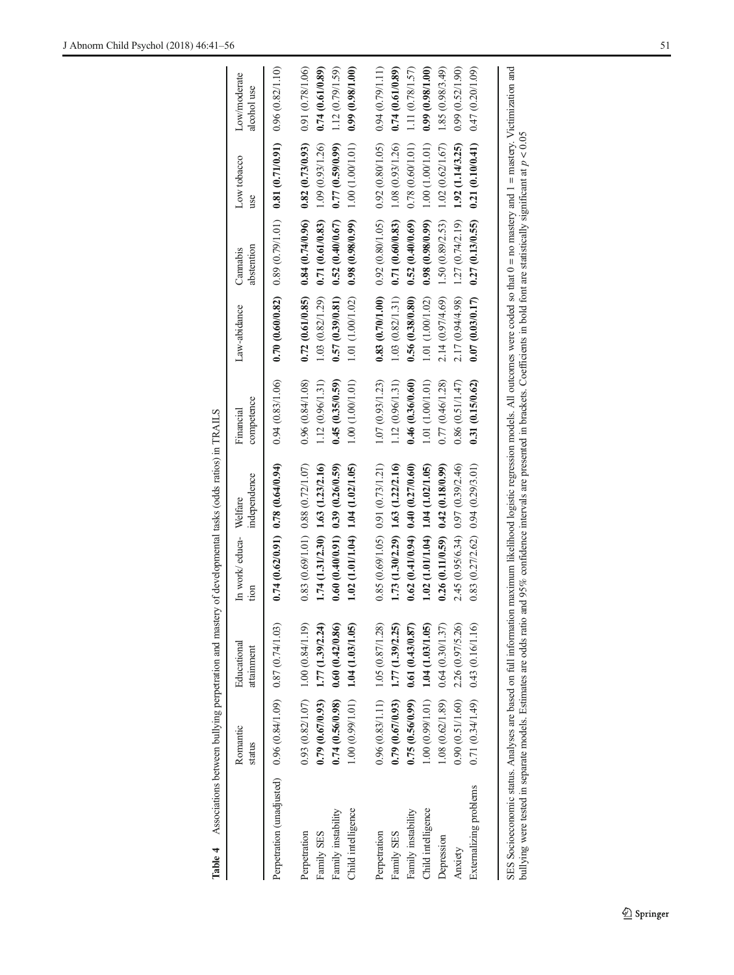| $\frac{1}{2}$<br>$\ddot{\phantom{a}}$ |  |
|---------------------------------------|--|
| ׇ֚֘֡                                  |  |
| ābl<br>I                              |  |

<span id="page-10-0"></span>

|                                                             | Romantic<br>status                | Educational<br>attainment                                                                                             | In work/educa- Welfare<br>tion | independence                                                                                              | competence<br>Financial                                | Law-abidance                        | abstention<br>Cannabis                                                                                        | Low tobacco<br>use                  | Low/moderate<br>alcohol use          |
|-------------------------------------------------------------|-----------------------------------|-----------------------------------------------------------------------------------------------------------------------|--------------------------------|-----------------------------------------------------------------------------------------------------------|--------------------------------------------------------|-------------------------------------|---------------------------------------------------------------------------------------------------------------|-------------------------------------|--------------------------------------|
| Perpetration (unadjusted) 0.96 (0.84/1.09) 0.87 (0.74/1.03) |                                   |                                                                                                                       |                                | $0.74(0.62/0.91)$ 0.78 $(0.64/0.94)$                                                                      | 0.94(0.83/1.06)                                        |                                     | $0.70$ (0.60/0.82) 0.89 (0.79/1.01) 0.81 (0.71/0.91) 0.96 (0.82/1.10)                                         |                                     |                                      |
| Family instability<br>Family SES<br>Perpetration            |                                   | $0.93$ $(0.82/1.07)$ 1.00 $(0.84/1.19)$<br>$0.79$ (0.67/0.93) 1.77 (1.39/2.24)<br>$0.74$ (0.56/0.98) 0.60 (0.42/0.86) |                                | 0.83 (0.69/1.01) 0.88 (0.72/1.07)<br>1.74 (1.31/2.30) 1.63 (1.23/2.16)<br>0.60(0.40/0.91) 0.39(0.26/0.59) | 0.96(0.84/1.08)<br>1.12 (0.96/1.31)<br>0.45(0.35/0.59) | 1.03 (0.82/1.29)<br>0.57(0.39/0.81) | $0.72(0.61/0.85)$ $0.84(0.74/0.96)$ $0.82(0.73/0.93)$ $0.91(0.78/1.06)$<br>0.71(0.61/0.83)<br>0.52(0.40/0.67) | 1.09 (0.93/1.26)<br>0.77(0.59/0.99) | 0.74(0.61/0.89)<br>1.12 (0.79/1.59)  |
| Child intelligence                                          |                                   | $1.00(0.99/1.01)$ 1.04 (1.03/1.05)                                                                                    |                                | $1.02(1.01/1.04)$ 1.04 $(1.02/1.05)$                                                                      | 1.00 (1.00/1.01)                                       | 1.01 (1.00/1.02)                    | 0.98 (0.98/0.99)                                                                                              | 1.00(1.00/1.01)                     | (0.99(0.98/1.00))                    |
| Perpetration                                                |                                   | $0.96(0.83/1.11)$ 1.05 $(0.87/1.28)$                                                                                  |                                | $0.85(0.69/1.05)$ 0.91 $(0.73/1.21)$                                                                      | 1.07 (0.93/1.23)                                       |                                     | <b>0.83</b> ( <b>0.70/1.00</b> ) 0.92 (0.80/1.05) 0.92 (0.80/1.05) 0.94 (0.79/1.11)                           |                                     |                                      |
| Family SES                                                  |                                   | $0.79$ (0.67/0.93) 1.77 (1.39/2.25)                                                                                   |                                | 1.73 (1.30/2.29) 1.63 (1.22/2.16)                                                                         | 1.12 (0.96/1.31)                                       | 1.03(0.82/1.31)                     | 0.71(0.60/0.83)                                                                                               | 1.08 (0.93/1.26)                    | 0.74(0.61/0.89)                      |
| Child intelligence<br>Family instability                    | (10.1100(0.99)<br>0.75(0.56/0.99) | 0.61(0.43/0.87)<br>1.04 (1.03/1.05)                                                                                   |                                | 0.62(0.41/0.94) 0.40(0.27/0.60)<br>1.02 (1.01/1.04) 1.04 (1.02/1.05)                                      | 0.46(0.36/0.60)<br>1.01 (1.00/1.01)                    | 1.01 (1.00/1.02)<br>0.56(0.38/0.80) | 0.52(0.40/0.69)<br>0.98(0.98/0.99)                                                                            | 0.78(0.60/1.01)<br>1.00 (1.00/1.01) | 1.11 (0.78/1.57)<br>0.99 (0.98/1.00) |
| Depression                                                  | .08(0.62/1.89)                    | 0.64(0.30/1.37)                                                                                                       |                                | $0.26(0.11/0.59)$ 0.42 (0.18/0.99)                                                                        | 0.77(0.46/1.28)                                        |                                     | $2.14(0.97/4.69)$ 1.50 (0.89/2.53)                                                                            | 1.02 (0.62/1.67)                    | 1.85 (0.98/3.49)                     |
| Anxiety                                                     |                                   | 0.90 (0.51/1.60) 2.26 (0.97/5.26)                                                                                     |                                | 2.45 (0.95/6.34) 0.97 (0.39/2.46)                                                                         | 0.86(0.51/1.47)                                        |                                     | $2.17(0.94/4.98)$ $1.27(0.74/2.19)$                                                                           | 1.92 (1.14/3.25)                    | 0.99(0.52/1.90)                      |
| Externalizing problems                                      |                                   | $0.71(0.34/1.49)$ $0.43(0.16/1.16)$                                                                                   |                                | $0.83(0.27/2.62)$ 0.94 $(0.29/3.01)$                                                                      | 0.31(0.15/0.62)                                        |                                     | $0.07(0.03/0.17)$ $0.27(0.13/0.55)$                                                                           | $0.21(0.10/0.41)$ $0.47(0.20/1.09)$ |                                      |
|                                                             |                                   |                                                                                                                       |                                |                                                                                                           |                                                        |                                     |                                                                                                               |                                     |                                      |

SES Socioeconomic status. Analyses are based on full information maximum likelihood logistic regression models. All outcomes were coded so that 0 = no mastery and 1 = mastery. Victimization and bullying were tested in sep SES Socioeconomic status. Analyses are based on full information maximum likelihood logistic regression models. All outcomes were coded so that 0 = no mastery and 1 = mastery. Victimization and bullying were tested in separate models. Estimates are odds ratio and 95% confidence intervals are presented in brackets. Coefficients in bold font are statistically significant at p < 0.05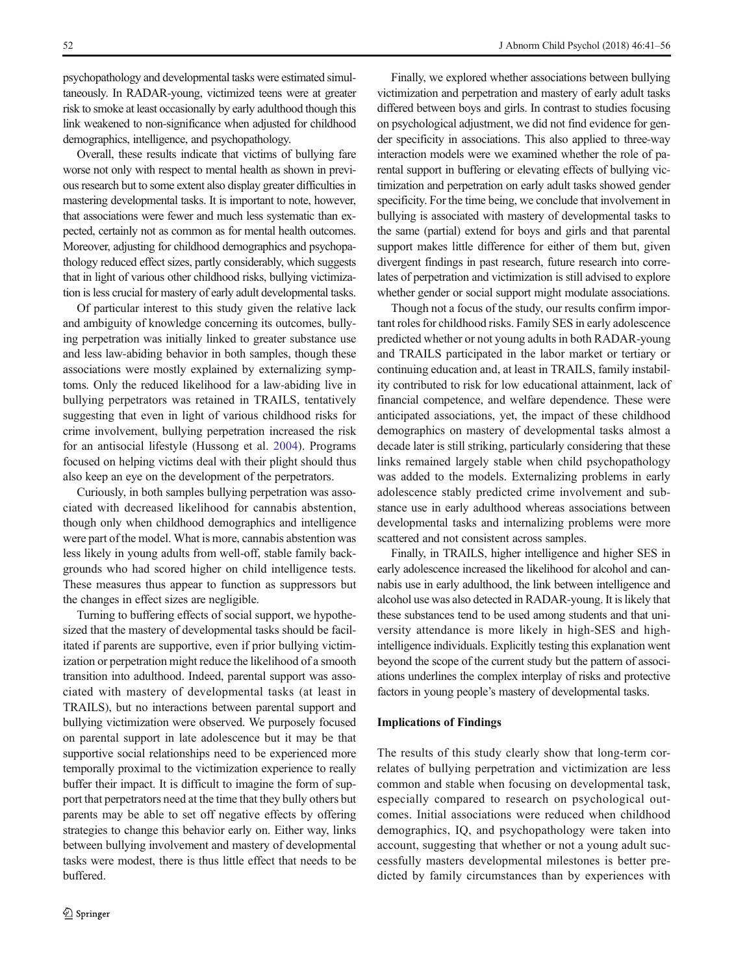psychopathology and developmental tasks were estimated simultaneously. In RADAR-young, victimized teens were at greater risk to smoke at least occasionally by early adulthood though this link weakened to non-significance when adjusted for childhood demographics, intelligence, and psychopathology.

Overall, these results indicate that victims of bullying fare worse not only with respect to mental health as shown in previous research but to some extent also display greater difficulties in mastering developmental tasks. It is important to note, however, that associations were fewer and much less systematic than expected, certainly not as common as for mental health outcomes. Moreover, adjusting for childhood demographics and psychopathology reduced effect sizes, partly considerably, which suggests that in light of various other childhood risks, bullying victimization is less crucial for mastery of early adult developmental tasks.

Of particular interest to this study given the relative lack and ambiguity of knowledge concerning its outcomes, bullying perpetration was initially linked to greater substance use and less law-abiding behavior in both samples, though these associations were mostly explained by externalizing symptoms. Only the reduced likelihood for a law-abiding live in bullying perpetrators was retained in TRAILS, tentatively suggesting that even in light of various childhood risks for crime involvement, bullying perpetration increased the risk for an antisocial lifestyle (Hussong et al. [2004\)](#page-14-0). Programs focused on helping victims deal with their plight should thus also keep an eye on the development of the perpetrators.

Curiously, in both samples bullying perpetration was associated with decreased likelihood for cannabis abstention, though only when childhood demographics and intelligence were part of the model. What is more, cannabis abstention was less likely in young adults from well-off, stable family backgrounds who had scored higher on child intelligence tests. These measures thus appear to function as suppressors but the changes in effect sizes are negligible.

Turning to buffering effects of social support, we hypothesized that the mastery of developmental tasks should be facilitated if parents are supportive, even if prior bullying victimization or perpetration might reduce the likelihood of a smooth transition into adulthood. Indeed, parental support was associated with mastery of developmental tasks (at least in TRAILS), but no interactions between parental support and bullying victimization were observed. We purposely focused on parental support in late adolescence but it may be that supportive social relationships need to be experienced more temporally proximal to the victimization experience to really buffer their impact. It is difficult to imagine the form of support that perpetrators need at the time that they bully others but parents may be able to set off negative effects by offering strategies to change this behavior early on. Either way, links between bullying involvement and mastery of developmental tasks were modest, there is thus little effect that needs to be buffered.

Finally, we explored whether associations between bullying victimization and perpetration and mastery of early adult tasks differed between boys and girls. In contrast to studies focusing on psychological adjustment, we did not find evidence for gender specificity in associations. This also applied to three-way interaction models were we examined whether the role of parental support in buffering or elevating effects of bullying victimization and perpetration on early adult tasks showed gender specificity. For the time being, we conclude that involvement in bullying is associated with mastery of developmental tasks to the same (partial) extend for boys and girls and that parental support makes little difference for either of them but, given divergent findings in past research, future research into correlates of perpetration and victimization is still advised to explore whether gender or social support might modulate associations.

Though not a focus of the study, our results confirm important roles for childhood risks. Family SES in early adolescence predicted whether or not young adults in both RADAR-young and TRAILS participated in the labor market or tertiary or continuing education and, at least in TRAILS, family instability contributed to risk for low educational attainment, lack of financial competence, and welfare dependence. These were anticipated associations, yet, the impact of these childhood demographics on mastery of developmental tasks almost a decade later is still striking, particularly considering that these links remained largely stable when child psychopathology was added to the models. Externalizing problems in early adolescence stably predicted crime involvement and substance use in early adulthood whereas associations between developmental tasks and internalizing problems were more scattered and not consistent across samples.

Finally, in TRAILS, higher intelligence and higher SES in early adolescence increased the likelihood for alcohol and cannabis use in early adulthood, the link between intelligence and alcohol use was also detected in RADAR-young. It is likely that these substances tend to be used among students and that university attendance is more likely in high-SES and highintelligence individuals. Explicitly testing this explanation went beyond the scope of the current study but the pattern of associations underlines the complex interplay of risks and protective factors in young people's mastery of developmental tasks.

#### Implications of Findings

The results of this study clearly show that long-term correlates of bullying perpetration and victimization are less common and stable when focusing on developmental task, especially compared to research on psychological outcomes. Initial associations were reduced when childhood demographics, IQ, and psychopathology were taken into account, suggesting that whether or not a young adult successfully masters developmental milestones is better predicted by family circumstances than by experiences with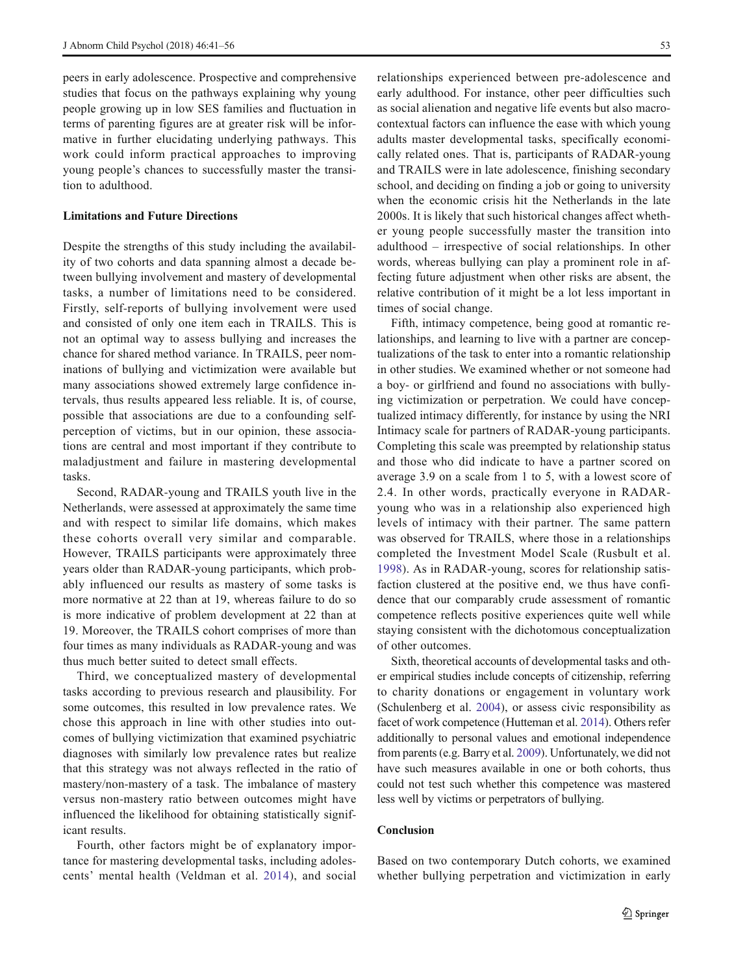peers in early adolescence. Prospective and comprehensive studies that focus on the pathways explaining why young people growing up in low SES families and fluctuation in terms of parenting figures are at greater risk will be informative in further elucidating underlying pathways. This work could inform practical approaches to improving young people's chances to successfully master the transition to adulthood.

#### Limitations and Future Directions

Despite the strengths of this study including the availability of two cohorts and data spanning almost a decade between bullying involvement and mastery of developmental tasks, a number of limitations need to be considered. Firstly, self-reports of bullying involvement were used and consisted of only one item each in TRAILS. This is not an optimal way to assess bullying and increases the chance for shared method variance. In TRAILS, peer nominations of bullying and victimization were available but many associations showed extremely large confidence intervals, thus results appeared less reliable. It is, of course, possible that associations are due to a confounding selfperception of victims, but in our opinion, these associations are central and most important if they contribute to maladjustment and failure in mastering developmental tasks.

Second, RADAR-young and TRAILS youth live in the Netherlands, were assessed at approximately the same time and with respect to similar life domains, which makes these cohorts overall very similar and comparable. However, TRAILS participants were approximately three years older than RADAR-young participants, which probably influenced our results as mastery of some tasks is more normative at 22 than at 19, whereas failure to do so is more indicative of problem development at 22 than at 19. Moreover, the TRAILS cohort comprises of more than four times as many individuals as RADAR-young and was thus much better suited to detect small effects.

Third, we conceptualized mastery of developmental tasks according to previous research and plausibility. For some outcomes, this resulted in low prevalence rates. We chose this approach in line with other studies into outcomes of bullying victimization that examined psychiatric diagnoses with similarly low prevalence rates but realize that this strategy was not always reflected in the ratio of mastery/non-mastery of a task. The imbalance of mastery versus non-mastery ratio between outcomes might have influenced the likelihood for obtaining statistically significant results.

Fourth, other factors might be of explanatory importance for mastering developmental tasks, including adolescents' mental health (Veldman et al. [2014](#page-15-0)), and social relationships experienced between pre-adolescence and early adulthood. For instance, other peer difficulties such as social alienation and negative life events but also macrocontextual factors can influence the ease with which young adults master developmental tasks, specifically economically related ones. That is, participants of RADAR-young and TRAILS were in late adolescence, finishing secondary school, and deciding on finding a job or going to university when the economic crisis hit the Netherlands in the late 2000s. It is likely that such historical changes affect whether young people successfully master the transition into adulthood – irrespective of social relationships. In other words, whereas bullying can play a prominent role in affecting future adjustment when other risks are absent, the relative contribution of it might be a lot less important in times of social change.

Fifth, intimacy competence, being good at romantic relationships, and learning to live with a partner are conceptualizations of the task to enter into a romantic relationship in other studies. We examined whether or not someone had a boy- or girlfriend and found no associations with bullying victimization or perpetration. We could have conceptualized intimacy differently, for instance by using the NRI Intimacy scale for partners of RADAR-young participants. Completing this scale was preempted by relationship status and those who did indicate to have a partner scored on average 3.9 on a scale from 1 to 5, with a lowest score of 2.4. In other words, practically everyone in RADARyoung who was in a relationship also experienced high levels of intimacy with their partner. The same pattern was observed for TRAILS, where those in a relationships completed the Investment Model Scale (Rusbult et al. [1998](#page-14-0)). As in RADAR-young, scores for relationship satisfaction clustered at the positive end, we thus have confidence that our comparably crude assessment of romantic competence reflects positive experiences quite well while staying consistent with the dichotomous conceptualization of other outcomes.

Sixth, theoretical accounts of developmental tasks and other empirical studies include concepts of citizenship, referring to charity donations or engagement in voluntary work (Schulenberg et al. [2004](#page-14-0)), or assess civic responsibility as facet of work competence (Hutteman et al. [2014\)](#page-14-0). Others refer additionally to personal values and emotional independence from parents (e.g. Barry et al. [2009\)](#page-13-0). Unfortunately, we did not have such measures available in one or both cohorts, thus could not test such whether this competence was mastered less well by victims or perpetrators of bullying.

#### Conclusion

Based on two contemporary Dutch cohorts, we examined whether bullying perpetration and victimization in early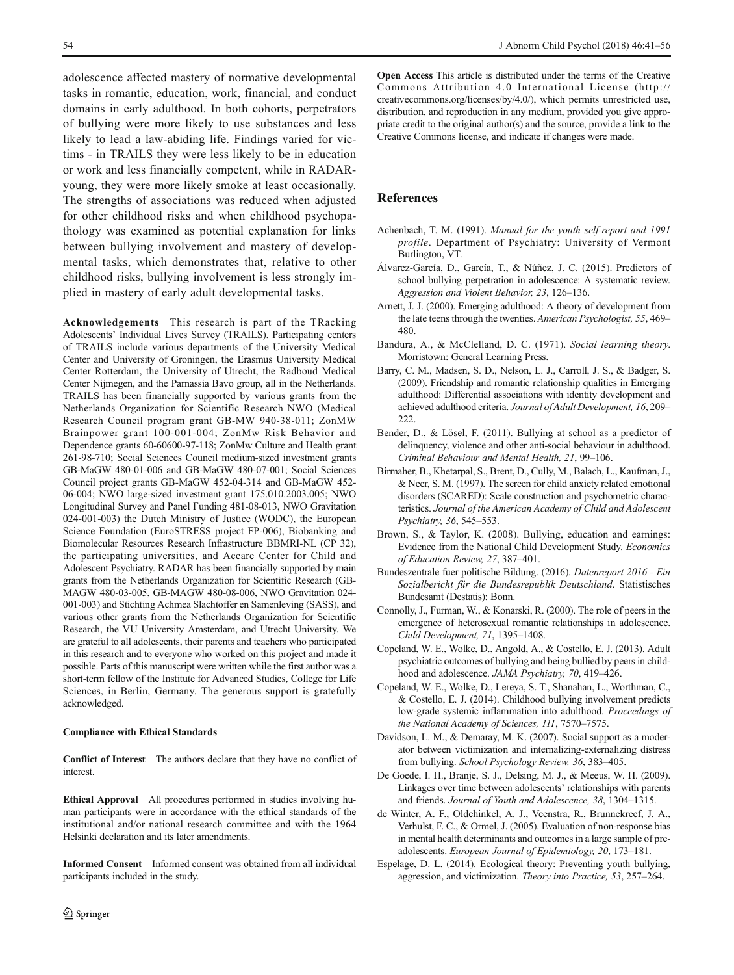<span id="page-13-0"></span>adolescence affected mastery of normative developmental tasks in romantic, education, work, financial, and conduct domains in early adulthood. In both cohorts, perpetrators of bullying were more likely to use substances and less likely to lead a law-abiding life. Findings varied for victims - in TRAILS they were less likely to be in education or work and less financially competent, while in RADARyoung, they were more likely smoke at least occasionally. The strengths of associations was reduced when adjusted for other childhood risks and when childhood psychopathology was examined as potential explanation for links between bullying involvement and mastery of developmental tasks, which demonstrates that, relative to other childhood risks, bullying involvement is less strongly implied in mastery of early adult developmental tasks.

Acknowledgements This research is part of the TRacking Adolescents' Individual Lives Survey (TRAILS). Participating centers of TRAILS include various departments of the University Medical Center and University of Groningen, the Erasmus University Medical Center Rotterdam, the University of Utrecht, the Radboud Medical Center Nijmegen, and the Parnassia Bavo group, all in the Netherlands. TRAILS has been financially supported by various grants from the Netherlands Organization for Scientific Research NWO (Medical Research Council program grant GB-MW 940-38-011; ZonMW Brainpower grant 100-001-004; ZonMw Risk Behavior and Dependence grants 60-60600-97-118; ZonMw Culture and Health grant 261-98-710; Social Sciences Council medium-sized investment grants GB-MaGW 480-01-006 and GB-MaGW 480-07-001; Social Sciences Council project grants GB-MaGW 452-04-314 and GB-MaGW 452- 06-004; NWO large-sized investment grant 175.010.2003.005; NWO Longitudinal Survey and Panel Funding 481-08-013, NWO Gravitation 024-001-003) the Dutch Ministry of Justice (WODC), the European Science Foundation (EuroSTRESS project FP-006), Biobanking and Biomolecular Resources Research Infrastructure BBMRI-NL (CP 32), the participating universities, and Accare Center for Child and Adolescent Psychiatry. RADAR has been financially supported by main grants from the Netherlands Organization for Scientific Research (GB-MAGW 480-03-005, GB-MAGW 480-08-006, NWO Gravitation 024- 001-003) and Stichting Achmea Slachtoffer en Samenleving (SASS), and various other grants from the Netherlands Organization for Scientific Research, the VU University Amsterdam, and Utrecht University. We are grateful to all adolescents, their parents and teachers who participated in this research and to everyone who worked on this project and made it possible. Parts of this manuscript were written while the first author was a short-term fellow of the Institute for Advanced Studies, College for Life Sciences, in Berlin, Germany. The generous support is gratefully acknowledged.

#### Compliance with Ethical Standards

Conflict of Interest The authors declare that they have no conflict of interest.

Ethical Approval All procedures performed in studies involving human participants were in accordance with the ethical standards of the institutional and/or national research committee and with the 1964 Helsinki declaration and its later amendments.

Informed Consent Informed consent was obtained from all individual participants included in the study.

Open Access This article is distributed under the terms of the Creative Commons Attribution 4.0 International License (http:// creativecommons.org/licenses/by/4.0/), which permits unrestricted use, distribution, and reproduction in any medium, provided you give appropriate credit to the original author(s) and the source, provide a link to the Creative Commons license, and indicate if changes were made.

#### **References**

- Achenbach, T. M. (1991). Manual for the youth self-report and 1991 profile. Department of Psychiatry: University of Vermont Burlington, VT.
- Álvarez-García, D., García, T., & Núñez, J. C. (2015). Predictors of school bullying perpetration in adolescence: A systematic review. Aggression and Violent Behavior, 23, 126–136.
- Arnett, J. J. (2000). Emerging adulthood: A theory of development from the late teens through the twenties. American Psychologist, 55, 469– 480.
- Bandura, A., & McClelland, D. C. (1971). Social learning theory. Morristown: General Learning Press.
- Barry, C. M., Madsen, S. D., Nelson, L. J., Carroll, J. S., & Badger, S. (2009). Friendship and romantic relationship qualities in Emerging adulthood: Differential associations with identity development and achieved adulthood criteria. Journal of Adult Development, 16, 209– 222.
- Bender, D., & Lösel, F. (2011). Bullying at school as a predictor of delinquency, violence and other anti-social behaviour in adulthood. Criminal Behaviour and Mental Health, 21, 99–106.
- Birmaher, B., Khetarpal, S., Brent, D., Cully, M., Balach, L., Kaufman, J., & Neer, S. M. (1997). The screen for child anxiety related emotional disorders (SCARED): Scale construction and psychometric characteristics. Journal of the American Academy of Child and Adolescent Psychiatry, 36, 545–553.
- Brown, S., & Taylor, K. (2008). Bullying, education and earnings: Evidence from the National Child Development Study. Economics of Education Review, 27, 387–401.
- Bundeszentrale fuer politische Bildung. (2016). Datenreport 2016 Ein Sozialbericht für die Bundesrepublik Deutschland. Statistisches Bundesamt (Destatis): Bonn.
- Connolly, J., Furman, W., & Konarski, R. (2000). The role of peers in the emergence of heterosexual romantic relationships in adolescence. Child Development, 71, 1395–1408.
- Copeland, W. E., Wolke, D., Angold, A., & Costello, E. J. (2013). Adult psychiatric outcomes of bullying and being bullied by peers in childhood and adolescence. JAMA Psychiatry, 70, 419–426.
- Copeland, W. E., Wolke, D., Lereya, S. T., Shanahan, L., Worthman, C., & Costello, E. J. (2014). Childhood bullying involvement predicts low-grade systemic inflammation into adulthood. Proceedings of the National Academy of Sciences, 111, 7570–7575.
- Davidson, L. M., & Demaray, M. K. (2007). Social support as a moderator between victimization and internalizing-externalizing distress from bullying. School Psychology Review, 36, 383–405.
- De Goede, I. H., Branje, S. J., Delsing, M. J., & Meeus, W. H. (2009). Linkages over time between adolescents' relationships with parents and friends. Journal of Youth and Adolescence, 38, 1304–1315.
- de Winter, A. F., Oldehinkel, A. J., Veenstra, R., Brunnekreef, J. A., Verhulst, F. C., & Ormel, J. (2005). Evaluation of non-response bias in mental health determinants and outcomes in a large sample of preadolescents. European Journal of Epidemiology, 20, 173–181.
- Espelage, D. L. (2014). Ecological theory: Preventing youth bullying, aggression, and victimization. Theory into Practice, 53, 257–264.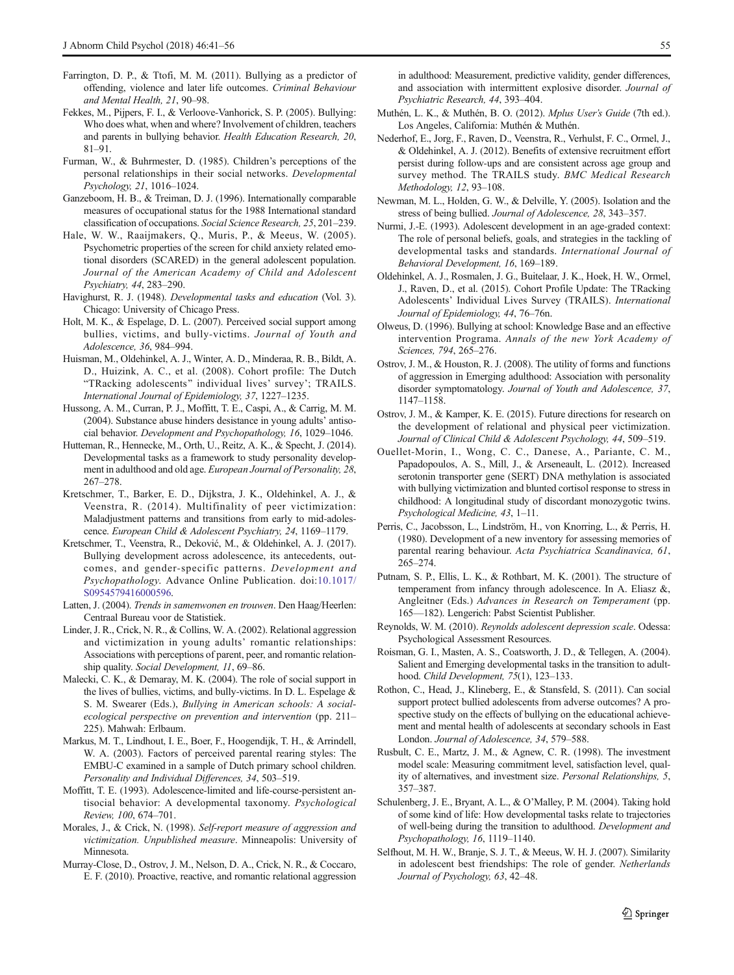- <span id="page-14-0"></span>Farrington, D. P., & Ttofi, M. M. (2011). Bullying as a predictor of offending, violence and later life outcomes. Criminal Behaviour and Mental Health, 21, 90–98.
- Fekkes, M., Pijpers, F. I., & Verloove-Vanhorick, S. P. (2005). Bullying: Who does what, when and where? Involvement of children, teachers and parents in bullying behavior. Health Education Research, 20, 81–91.
- Furman, W., & Buhrmester, D. (1985). Children's perceptions of the personal relationships in their social networks. Developmental Psychology, 21, 1016–1024.
- Ganzeboom, H. B., & Treiman, D. J. (1996). Internationally comparable measures of occupational status for the 1988 International standard classification of occupations. Social Science Research, 25, 201–239.
- Hale, W. W., Raaijmakers, Q., Muris, P., & Meeus, W. (2005). Psychometric properties of the screen for child anxiety related emotional disorders (SCARED) in the general adolescent population. Journal of the American Academy of Child and Adolescent Psychiatry, 44, 283–290.
- Havighurst, R. J. (1948). Developmental tasks and education (Vol. 3). Chicago: University of Chicago Press.
- Holt, M. K., & Espelage, D. L. (2007). Perceived social support among bullies, victims, and bully-victims. Journal of Youth and Adolescence, 36, 984–994.
- Huisman, M., Oldehinkel, A. J., Winter, A. D., Minderaa, R. B., Bildt, A. D., Huizink, A. C., et al. (2008). Cohort profile: The Dutch "TRacking adolescents" individual lives' survey'; TRAILS. International Journal of Epidemiology, 37, 1227–1235.
- Hussong, A. M., Curran, P. J., Moffitt, T. E., Caspi, A., & Carrig, M. M. (2004). Substance abuse hinders desistance in young adults' antisocial behavior. Development and Psychopathology, 16, 1029–1046.
- Hutteman, R., Hennecke, M., Orth, U., Reitz, A. K., & Specht, J. (2014). Developmental tasks as a framework to study personality development in adulthood and old age. European Journal of Personality, 28, 267–278.
- Kretschmer, T., Barker, E. D., Dijkstra, J. K., Oldehinkel, A. J., & Veenstra, R. (2014). Multifinality of peer victimization: Maladjustment patterns and transitions from early to mid-adolescence. European Child & Adolescent Psychiatry, 24, 1169–1179.
- Kretschmer, T., Veenstra, R., Deković, M., & Oldehinkel, A. J. (2017). Bullying development across adolescence, its antecedents, outcomes, and gender-specific patterns. Development and Psychopathology. Advance Online Publication. doi:[10.1017/](http://dx.doi.org/10.1017/S0954579416000596) [S0954579416000596.](http://dx.doi.org/10.1017/S0954579416000596)
- Latten, J. (2004). Trends in samenwonen en trouwen. Den Haag/Heerlen: Centraal Bureau voor de Statistiek.
- Linder, J. R., Crick, N. R., & Collins, W. A. (2002). Relational aggression and victimization in young adults' romantic relationships: Associations with perceptions of parent, peer, and romantic relationship quality. Social Development, 11, 69–86.
- Malecki, C. K., & Demaray, M. K. (2004). The role of social support in the lives of bullies, victims, and bully-victims. In D. L. Espelage & S. M. Swearer (Eds.), Bullying in American schools: A socialecological perspective on prevention and intervention (pp. 211– 225). Mahwah: Erlbaum.
- Markus, M. T., Lindhout, I. E., Boer, F., Hoogendijk, T. H., & Arrindell, W. A. (2003). Factors of perceived parental rearing styles: The EMBU-C examined in a sample of Dutch primary school children. Personality and Individual Differences, 34, 503–519.
- Moffitt, T. E. (1993). Adolescence-limited and life-course-persistent antisocial behavior: A developmental taxonomy. Psychological Review, 100, 674–701.
- Morales, J., & Crick, N. (1998). Self-report measure of aggression and victimization. Unpublished measure. Minneapolis: University of Minnesota.
- Murray-Close, D., Ostrov, J. M., Nelson, D. A., Crick, N. R., & Coccaro, E. F. (2010). Proactive, reactive, and romantic relational aggression

in adulthood: Measurement, predictive validity, gender differences, and association with intermittent explosive disorder. Journal of Psychiatric Research, 44, 393–404.

- Muthén, L. K., & Muthén, B. O. (2012). Mplus User's Guide (7th ed.). Los Angeles, California: Muthén & Muthén.
- Nederhof, E., Jorg, F., Raven, D., Veenstra, R., Verhulst, F. C., Ormel, J., & Oldehinkel, A. J. (2012). Benefits of extensive recruitment effort persist during follow-ups and are consistent across age group and survey method. The TRAILS study. BMC Medical Research Methodology, 12, 93–108.
- Newman, M. L., Holden, G. W., & Delville, Y. (2005). Isolation and the stress of being bullied. Journal of Adolescence, 28, 343–357.
- Nurmi, J.-E. (1993). Adolescent development in an age-graded context: The role of personal beliefs, goals, and strategies in the tackling of developmental tasks and standards. International Journal of Behavioral Development, 16, 169–189.
- Oldehinkel, A. J., Rosmalen, J. G., Buitelaar, J. K., Hoek, H. W., Ormel, J., Raven, D., et al. (2015). Cohort Profile Update: The TRacking Adolescents' Individual Lives Survey (TRAILS). International Journal of Epidemiology, 44, 76–76n.
- Olweus, D. (1996). Bullying at school: Knowledge Base and an effective intervention Programa. Annals of the new York Academy of Sciences, 794, 265–276.
- Ostrov, J. M., & Houston, R. J. (2008). The utility of forms and functions of aggression in Emerging adulthood: Association with personality disorder symptomatology. Journal of Youth and Adolescence, 37, 1147–1158.
- Ostrov, J. M., & Kamper, K. E. (2015). Future directions for research on the development of relational and physical peer victimization. Journal of Clinical Child & Adolescent Psychology, 44, 509–519.
- Ouellet-Morin, I., Wong, C. C., Danese, A., Pariante, C. M., Papadopoulos, A. S., Mill, J., & Arseneault, L. (2012). Increased serotonin transporter gene (SERT) DNA methylation is associated with bullying victimization and blunted cortisol response to stress in childhood: A longitudinal study of discordant monozygotic twins. Psychological Medicine, 43, 1–11.
- Perris, C., Jacobsson, L., Lindström, H., von Knorring, L., & Perris, H. (1980). Development of a new inventory for assessing memories of parental rearing behaviour. Acta Psychiatrica Scandinavica, 61, 265–274.
- Putnam, S. P., Ellis, L. K., & Rothbart, M. K. (2001). The structure of temperament from infancy through adolescence. In A. Eliasz &, Angleitner (Eds.) Advances in Research on Temperament (pp. 165—182). Lengerich: Pabst Scientist Publisher.
- Reynolds, W. M. (2010). Reynolds adolescent depression scale. Odessa: Psychological Assessment Resources.
- Roisman, G. I., Masten, A. S., Coatsworth, J. D., & Tellegen, A. (2004). Salient and Emerging developmental tasks in the transition to adulthood. Child Development, 75(1), 123–133.
- Rothon, C., Head, J., Klineberg, E., & Stansfeld, S. (2011). Can social support protect bullied adolescents from adverse outcomes? A prospective study on the effects of bullying on the educational achievement and mental health of adolescents at secondary schools in East London. Journal of Adolescence, 34, 579–588.
- Rusbult, C. E., Martz, J. M., & Agnew, C. R. (1998). The investment model scale: Measuring commitment level, satisfaction level, quality of alternatives, and investment size. Personal Relationships, 5, 357–387.
- Schulenberg, J. E., Bryant, A. L., & O'Malley, P. M. (2004). Taking hold of some kind of life: How developmental tasks relate to trajectories of well-being during the transition to adulthood. Development and Psychopathology, 16, 1119–1140.
- Selfhout, M. H. W., Branje, S. J. T., & Meeus, W. H. J. (2007). Similarity in adolescent best friendships: The role of gender. Netherlands Journal of Psychology, 63, 42–48.